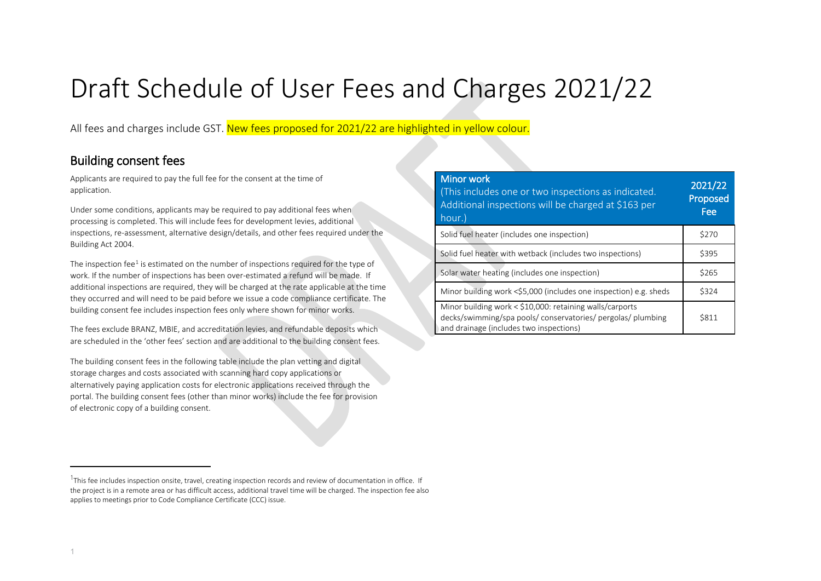# Draft Schedule of User Fees and Charges 2021/22

All fees and charges include GST. New fees proposed for 2021/22 are highlighted in yellow colour.

#### Building consent fees

Applicants are required to pay the full fee for the consent at the time of application.

Under some conditions, applicants may be required to pay additional fees when processing is completed. This will include fees for development levies, additional inspections, re-assessment, alternative design/details, and other fees required under the Building Act 2004.

The inspection fee<sup>[1](#page-0-0)</sup> is estimated on the number of inspections required for the type of work. If the number of inspections has been over-estimated a refund will be made. If additional inspections are required, they will be charged at the rate applicable at the time they occurred and will need to be paid before we issue a code compliance certificate. The building consent fee includes inspection fees only where shown for minor works.

The fees exclude BRANZ, MBIE, and accreditation levies, and refundable deposits which are scheduled in the 'other fees' section and are additional to the building consent fees.

The building consent fees in the following table include the plan vetting and digital storage charges and costs associated with scanning hard copy applications or alternatively paying application costs for electronic applications received through the portal. The building consent fees (other than minor works) include the fee for provision of electronic copy of a building consent.

<span id="page-0-0"></span>

| <b>Minor work</b><br>This includes one or two inspections as indicated.<br>Additional inspections will be charged at \$163 per<br>hour.)                            | 2021/22<br>Proposed<br>Fee |
|---------------------------------------------------------------------------------------------------------------------------------------------------------------------|----------------------------|
| Solid fuel heater (includes one inspection)                                                                                                                         | \$270                      |
| Solid fuel heater with wetback (includes two inspections)                                                                                                           | \$395                      |
| Solar water heating (includes one inspection)                                                                                                                       | \$265                      |
| Minor building work <\$5,000 (includes one inspection) e.g. sheds                                                                                                   | \$324                      |
| Minor building work < \$10,000: retaining walls/carports<br>decks/swimming/spa pools/ conservatories/ pergolas/ plumbing<br>and drainage (includes two inspections) | <b>S811</b>                |

l

 $1$ This fee includes inspection onsite, travel, creating inspection records and review of documentation in office. If the project is in a remote area or has difficult access, additional travel time will be charged. The inspection fee also applies to meetings prior to Code Compliance Certificate (CCC) issue.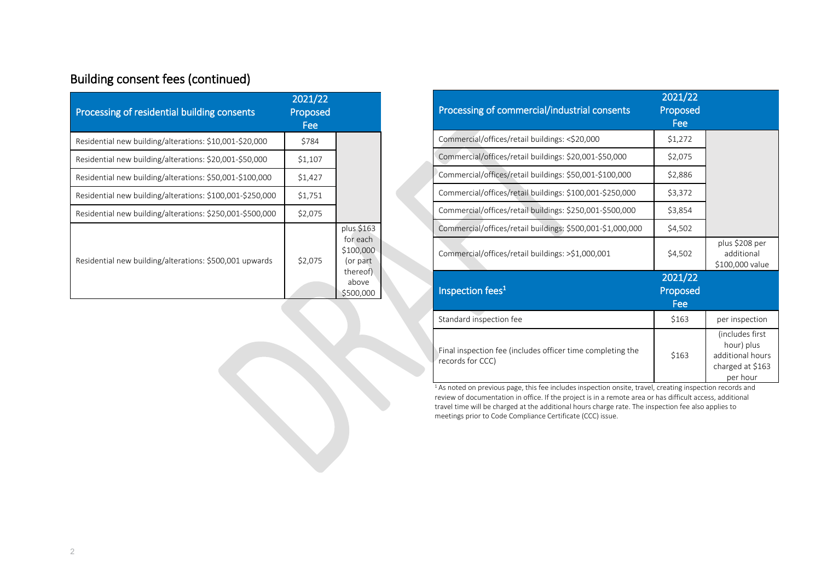# Building consent fees (continued)

| Processing of residential building consents               | 2021/22<br>Proposed<br>Fee |                                                                                   |
|-----------------------------------------------------------|----------------------------|-----------------------------------------------------------------------------------|
| Residential new building/alterations: \$10,001-\$20,000   | \$784                      |                                                                                   |
| Residential new building/alterations: \$20,001-\$50,000   | \$1,107                    |                                                                                   |
| Residential new building/alterations: \$50,001-\$100,000  | \$1,427                    |                                                                                   |
| Residential new building/alterations: \$100,001-\$250,000 | \$1,751                    |                                                                                   |
| Residential new building/alterations: \$250,001-\$500,000 | \$2,075                    |                                                                                   |
| Residential new building/alterations: \$500,001 upwards   | \$2,075                    | plus \$163<br>for each<br>\$100,000<br>(or part<br>thereof)<br>above<br>\$500,000 |

| Processing of commercial/industrial consents                                   | 2021/22<br>Proposed<br>Fee |                                                                                   |
|--------------------------------------------------------------------------------|----------------------------|-----------------------------------------------------------------------------------|
| Commercial/offices/retail buildings: <\$20,000                                 | \$1,272                    |                                                                                   |
| Commercial/offices/retail buildings: \$20,001-\$50,000                         | \$2,075                    |                                                                                   |
| Commercial/offices/retail buildings: \$50,001-\$100,000                        | \$2,886                    |                                                                                   |
| Commercial/offices/retail buildings: \$100,001-\$250,000                       | \$3,372                    |                                                                                   |
| Commercial/offices/retail buildings: \$250,001-\$500,000                       | \$3,854                    |                                                                                   |
| Commercial/offices/retail buildings: \$500,001-\$1,000,000                     | \$4,502                    |                                                                                   |
| Commercial/offices/retail buildings: >\$1,000,001                              | \$4,502                    | plus \$208 per<br>additional<br>\$100,000 value                                   |
| Inspection fees <sup>1</sup>                                                   | 2021/22<br>Proposed<br>Fee |                                                                                   |
| Standard inspection fee                                                        | \$163                      | per inspection                                                                    |
| Final inspection fee (includes officer time completing the<br>records for CCC) | \$163                      | (includes first<br>hour) plus<br>additional hours<br>charged at \$163<br>per hour |

<sup>1</sup>As noted on previous page, this fee includes inspection onsite, travel, creating inspection records and review of documentation in office. If the project is in a remote area or has difficult access, additional travel time will be charged at the additional hours charge rate. The inspection fee also applies to meetings prior to Code Compliance Certificate (CCC) issue.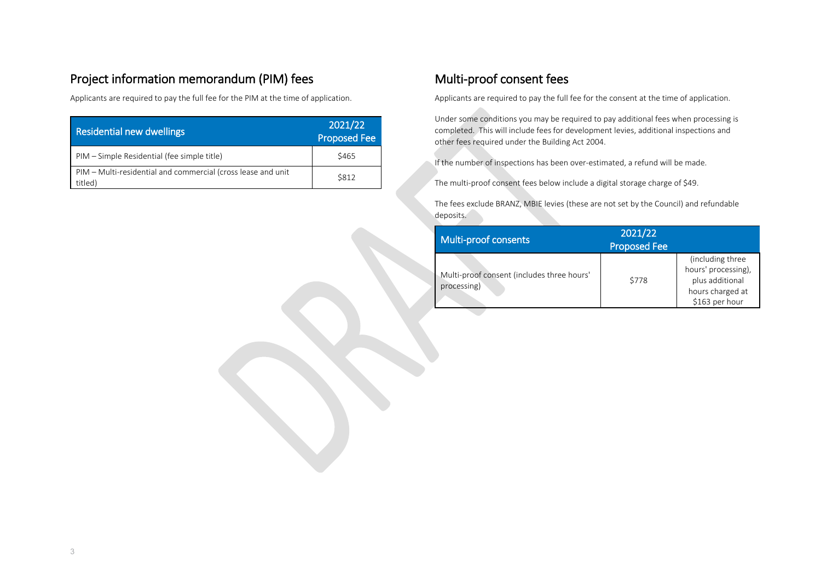#### Project information memorandum (PIM) fees

Applicants are required to pay the full fee for the PIM at the time of application.

| <b>Residential new dwellings</b>                                        | 2021/22<br><b>Proposed Fee</b> |
|-------------------------------------------------------------------------|--------------------------------|
| PIM – Simple Residential (fee simple title)                             | \$465                          |
| PIM – Multi-residential and commercial (cross lease and unit<br>titled) | \$812                          |

#### Multi-proof consent fees

Applicants are required to pay the full fee for the consent at the time of application.

Under some conditions you may be required to pay additional fees when processing is completed. This will include fees for development levies, additional inspections and other fees required under the Building Act 2004.

If the number of inspections has been over-estimated, a refund will be made.

The multi-proof consent fees below include a digital storage charge of \$49.

The fees exclude BRANZ, MBIE levies (these are not set by the Council) and refundable deposits.

| Multi-proof consents                                      | 2021/22<br>Proposed Fee |                                                                                                  |
|-----------------------------------------------------------|-------------------------|--------------------------------------------------------------------------------------------------|
| Multi-proof consent (includes three hours'<br>processing) | \$778                   | (including three<br>hours' processing),<br>plus additional<br>hours charged at<br>\$163 per hour |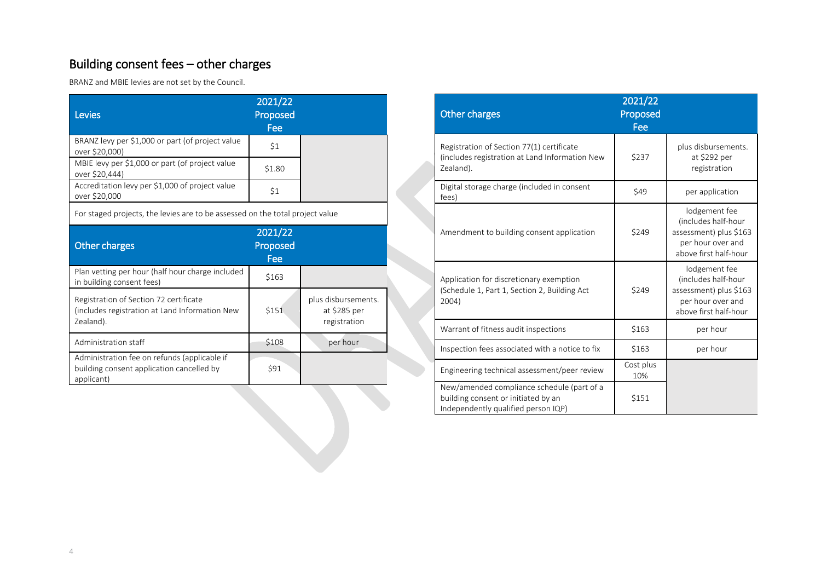# Building consent fees – other charges

BRANZ and MBIE levies are not set by the Council.

| <b>Levies</b>                                                                                           | 2021/22<br>Proposed<br>Fee |                                                     |
|---------------------------------------------------------------------------------------------------------|----------------------------|-----------------------------------------------------|
| BRANZ levy per \$1,000 or part (of project value<br>over \$20,000)                                      | \$1                        |                                                     |
| MBIE levy per \$1,000 or part (of project value<br>over \$20,444)                                       | \$1.80                     |                                                     |
| Accreditation levy per \$1,000 of project value<br>over \$20,000                                        | \$1                        |                                                     |
| For staged projects, the levies are to be assessed on the total project value                           |                            |                                                     |
| <b>Other charges</b>                                                                                    | 2021/22<br>Proposed<br>Fee |                                                     |
| Plan vetting per hour (half hour charge included<br>in building consent fees)                           | \$163                      |                                                     |
| Registration of Section 72 certificate<br>(includes registration at Land Information New<br>Zealand).   | \$151                      | plus disbursements.<br>at \$285 per<br>registration |
| Administration staff                                                                                    | \$108                      | per hour                                            |
| Administration fee on refunds (applicable if<br>building consent application cancelled by<br>applicant) | \$91                       |                                                     |

| <b>Other charges</b>                                                                                                     | 2021/22<br>Proposed<br>Fee |                                                                                                              |
|--------------------------------------------------------------------------------------------------------------------------|----------------------------|--------------------------------------------------------------------------------------------------------------|
| Registration of Section 77(1) certificate<br>(includes registration at Land Information New<br>Zealand).                 | \$237                      | plus disbursements.<br>at \$292 per<br>registration                                                          |
| Digital storage charge (included in consent<br>fees)                                                                     | \$49                       | per application                                                                                              |
| Amendment to building consent application                                                                                | \$249                      | lodgement fee<br>(includes half-hour<br>assessment) plus \$163<br>per hour over and<br>above first half-hour |
| Application for discretionary exemption<br>(Schedule 1, Part 1, Section 2, Building Act<br>2004)                         | \$249                      | lodgement fee<br>(includes half-hour<br>assessment) plus \$163<br>per hour over and<br>above first half-hour |
| Warrant of fitness audit inspections                                                                                     | \$163                      | per hour                                                                                                     |
| Inspection fees associated with a notice to fix                                                                          | \$163                      | per hour                                                                                                     |
| Engineering technical assessment/peer review                                                                             | Cost plus<br>10%           |                                                                                                              |
| New/amended compliance schedule (part of a<br>building consent or initiated by an<br>Independently qualified person IQP) | \$151                      |                                                                                                              |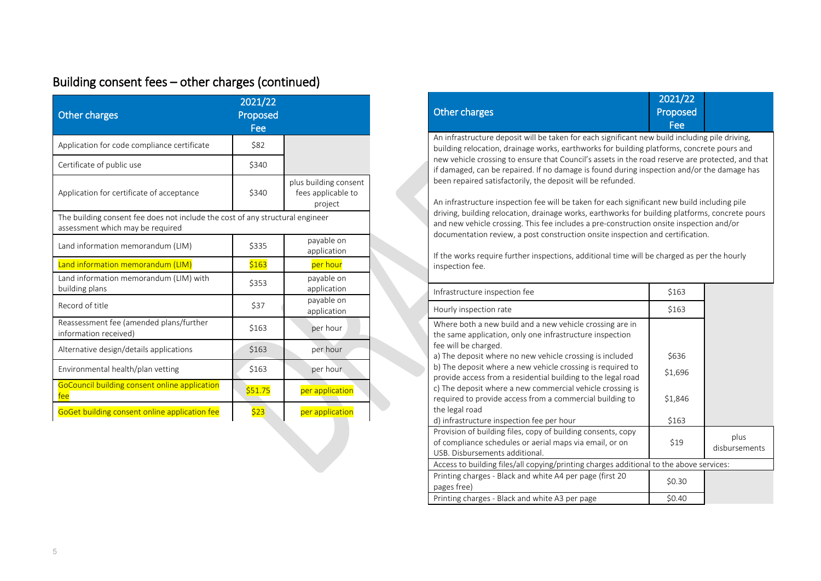# Building consent fees – other charges (continued)

| <b>Other charges</b>                                                                                              | 2021/22<br>Proposed<br>Fee |                                                        |
|-------------------------------------------------------------------------------------------------------------------|----------------------------|--------------------------------------------------------|
| Application for code compliance certificate                                                                       | \$82                       |                                                        |
| Certificate of public use                                                                                         | \$340                      |                                                        |
| Application for certificate of acceptance                                                                         | \$340                      | plus building consent<br>fees applicable to<br>project |
| The building consent fee does not include the cost of any structural engineer<br>assessment which may be required |                            |                                                        |
| Land information memorandum (LIM)                                                                                 | \$335                      | payable on<br>application                              |
| Land information memorandum (LIM)                                                                                 | \$163                      | per hour                                               |
| Land information memorandum (LIM) with<br>building plans                                                          | \$353                      | payable on<br>application                              |
| Record of title                                                                                                   | \$37                       | payable on<br>application                              |
| Reassessment fee (amended plans/further<br>information received)                                                  | \$163                      | per hour                                               |
| Alternative design/details applications                                                                           | \$163                      | per hour                                               |
|                                                                                                                   |                            |                                                        |
| Environmental health/plan vetting                                                                                 | \$163                      | per hour.                                              |
| GoCouncil building consent online application<br>fee                                                              | \$51.75                    | per application                                        |

|                                                                                                                                                                                                                                                                                                                                                                                                                                                                             | <b>Other charges</b>                                                                                                                                                                                                                                                                                                                                                                                                                                          | Proposed<br>Fee |                       |
|-----------------------------------------------------------------------------------------------------------------------------------------------------------------------------------------------------------------------------------------------------------------------------------------------------------------------------------------------------------------------------------------------------------------------------------------------------------------------------|---------------------------------------------------------------------------------------------------------------------------------------------------------------------------------------------------------------------------------------------------------------------------------------------------------------------------------------------------------------------------------------------------------------------------------------------------------------|-----------------|-----------------------|
|                                                                                                                                                                                                                                                                                                                                                                                                                                                                             | An infrastructure deposit will be taken for each significant new build including pile driving,<br>building relocation, drainage works, earthworks for building platforms, concrete pours and<br>new vehicle crossing to ensure that Council's assets in the road reserve are protected, and that<br>if damaged, can be repaired. If no damage is found during inspection and/or the damage has<br>been repaired satisfactorily, the deposit will be refunded. |                 |                       |
| An infrastructure inspection fee will be taken for each significant new build including pile<br>driving, building relocation, drainage works, earthworks for building platforms, concrete pours<br>and new vehicle crossing. This fee includes a pre-construction onsite inspection and/or<br>documentation review, a post construction onsite inspection and certification.<br>If the works require further inspections, additional time will be charged as per the hourly |                                                                                                                                                                                                                                                                                                                                                                                                                                                               |                 |                       |
|                                                                                                                                                                                                                                                                                                                                                                                                                                                                             | inspection fee.                                                                                                                                                                                                                                                                                                                                                                                                                                               |                 |                       |
|                                                                                                                                                                                                                                                                                                                                                                                                                                                                             | Infrastructure inspection fee                                                                                                                                                                                                                                                                                                                                                                                                                                 | \$163           |                       |
|                                                                                                                                                                                                                                                                                                                                                                                                                                                                             | Hourly inspection rate                                                                                                                                                                                                                                                                                                                                                                                                                                        | \$163           |                       |
|                                                                                                                                                                                                                                                                                                                                                                                                                                                                             | Where both a new build and a new vehicle crossing are in<br>the same application, only one infrastructure inspection<br>fee will be charged.                                                                                                                                                                                                                                                                                                                  |                 |                       |
|                                                                                                                                                                                                                                                                                                                                                                                                                                                                             | a) The deposit where no new vehicle crossing is included                                                                                                                                                                                                                                                                                                                                                                                                      | \$636           |                       |
|                                                                                                                                                                                                                                                                                                                                                                                                                                                                             | b) The deposit where a new vehicle crossing is required to<br>provide access from a residential building to the legal road                                                                                                                                                                                                                                                                                                                                    | \$1,696         |                       |
|                                                                                                                                                                                                                                                                                                                                                                                                                                                                             | c) The deposit where a new commercial vehicle crossing is<br>required to provide access from a commercial building to<br>the legal road                                                                                                                                                                                                                                                                                                                       | \$1,846         |                       |
|                                                                                                                                                                                                                                                                                                                                                                                                                                                                             | d) infrastructure inspection fee per hour                                                                                                                                                                                                                                                                                                                                                                                                                     | \$163           |                       |
|                                                                                                                                                                                                                                                                                                                                                                                                                                                                             | Provision of building files, copy of building consents, copy<br>of compliance schedules or aerial maps via email, or on<br>USB. Disbursements additional.                                                                                                                                                                                                                                                                                                     | \$19            | plus<br>disbursements |
|                                                                                                                                                                                                                                                                                                                                                                                                                                                                             | Access to building files/all copying/printing charges additional to the above services:                                                                                                                                                                                                                                                                                                                                                                       |                 |                       |
|                                                                                                                                                                                                                                                                                                                                                                                                                                                                             | Printing charges - Black and white A4 per page (first 20<br>pages free)                                                                                                                                                                                                                                                                                                                                                                                       | \$0.30          |                       |
|                                                                                                                                                                                                                                                                                                                                                                                                                                                                             | Printing charges - Black and white A3 per page                                                                                                                                                                                                                                                                                                                                                                                                                | \$0.40          |                       |

2021/22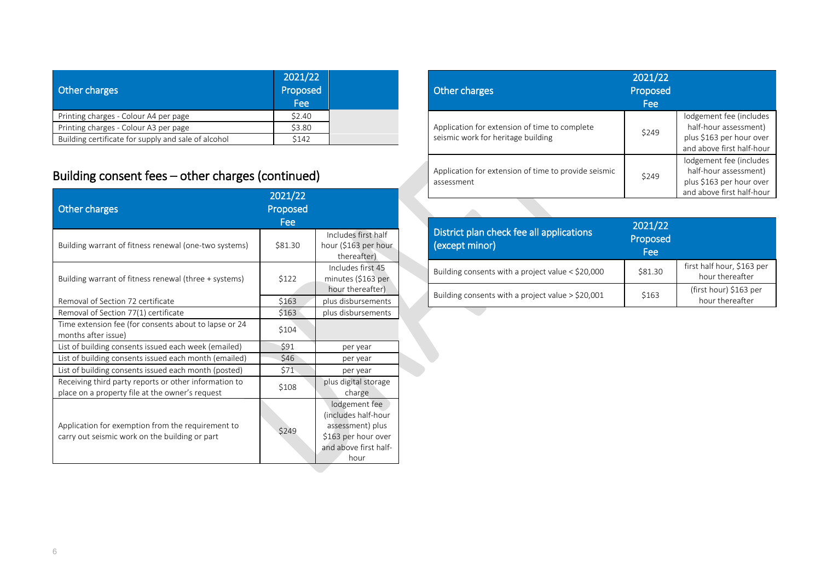| <b>Other charges</b>                                | 2021/22<br>Proposed<br>Fee |
|-----------------------------------------------------|----------------------------|
| Printing charges - Colour A4 per page               | \$2.40                     |
| Printing charges - Colour A3 per page               | \$3.80                     |
| Building certificate for supply and sale of alcohol | \$142                      |

# Building consent fees – other charges (continued)

| Other charges                                                                                            | 2021/22<br>Proposed<br>Fee |                                                                                                                  |
|----------------------------------------------------------------------------------------------------------|----------------------------|------------------------------------------------------------------------------------------------------------------|
| Building warrant of fitness renewal (one-two systems)                                                    | \$81.30                    | Includes first half<br>hour (\$163 per hour<br>thereafter)                                                       |
| Building warrant of fitness renewal (three + systems)                                                    | \$122                      | Includes first 45<br>minutes (\$163 per<br>hour thereafter)                                                      |
| Removal of Section 72 certificate                                                                        | \$163                      | plus disbursements                                                                                               |
| Removal of Section 77(1) certificate                                                                     | \$163                      | plus disbursements                                                                                               |
| Time extension fee (for consents about to lapse or 24<br>months after issue)                             | \$104                      |                                                                                                                  |
| List of building consents issued each week (emailed)                                                     | \$91                       | per year                                                                                                         |
| List of building consents issued each month (emailed)                                                    | \$46                       | per year                                                                                                         |
| List of building consents issued each month (posted)                                                     | \$71                       | per year                                                                                                         |
| Receiving third party reports or other information to<br>place on a property file at the owner's request | \$108                      | plus digital storage<br>charge                                                                                   |
| Application for exemption from the requirement to<br>carry out seismic work on the building or part      | \$249                      | lodgement fee<br>(includes half-hour<br>assessment) plus<br>\$163 per hour over<br>and above first half-<br>hour |

| Other charges                                                                       | 2021/22<br>Proposed<br>Fee |                                                                                                           |
|-------------------------------------------------------------------------------------|----------------------------|-----------------------------------------------------------------------------------------------------------|
| Application for extension of time to complete<br>seismic work for heritage building | \$249                      | lodgement fee (includes<br>half-hour assessment)<br>plus \$163 per hour over<br>and above first half-hour |
| Application for extension of time to provide seismic<br>assessment                  | \$249                      | lodgement fee (includes<br>half-hour assessment)<br>plus \$163 per hour over<br>and above first half-hour |

| District plan check fee all applications<br>(except minor) | 2021/22<br>Proposed<br>Fee |                                               |
|------------------------------------------------------------|----------------------------|-----------------------------------------------|
| Building consents with a project value $<$ \$20,000        | \$81.30                    | first half hour, \$163 per<br>hour thereafter |
| Building consents with a project value $>$ \$20,001        | \$163                      | (first hour) \$163 per<br>hour thereafter     |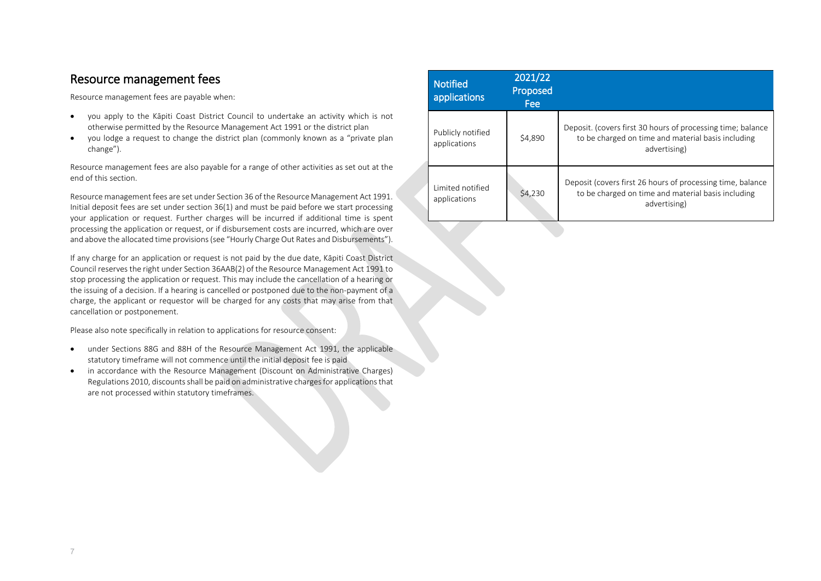#### Resource management fees

Resource management fees are payable when:

- you apply to the Kāpiti Coast District Council to undertake an activity which is not otherwise permitted by the Resource Management Act 1991 or the district plan
- you lodge a request to change the district plan (commonly known as a "private plan change").

Resource management fees are also payable for a range of other activities as set out at the end of this section.

Resource management fees are set under Section 36 of the Resource Management Act 1991. Initial deposit fees are set under section 36(1) and must be paid before we start processing your application or request. Further charges will be incurred if additional time is spent processing the application or request, or if disbursement costs are incurred, which are over and above the allocated time provisions(see "Hourly Charge Out Rates and Disbursements").

If any charge for an application or request is not paid by the due date, Kāpiti Coast District Council reserves the right under Section 36AAB(2) of the Resource Management Act 1991 to stop processing the application or request. This may include the cancellation of a hearing or the issuing of a decision. If a hearing is cancelled or postponed due to the non-payment of a charge, the applicant or requestor will be charged for any costs that may arise from that cancellation or postponement.

Please also note specifically in relation to applications for resource consent:

- under Sections 88G and 88H of the Resource Management Act 1991, the applicable statutory timeframe will not commence until the initial deposit fee is paid
- in accordance with the Resource Management (Discount on Administrative Charges) Regulations 2010, discounts shall be paid on administrative charges for applications that are not processed within statutory timeframes.

| <b>Notified</b><br>applications   | 2021/22<br>Proposed<br>Fee: |                                                                                                                                   |
|-----------------------------------|-----------------------------|-----------------------------------------------------------------------------------------------------------------------------------|
| Publicly notified<br>applications | \$4,890                     | Deposit. (covers first 30 hours of processing time; balance<br>to be charged on time and material basis including<br>advertising) |
| Limited notified<br>applications  | \$4,230                     | Deposit (covers first 26 hours of processing time, balance<br>to be charged on time and material basis including<br>advertising)  |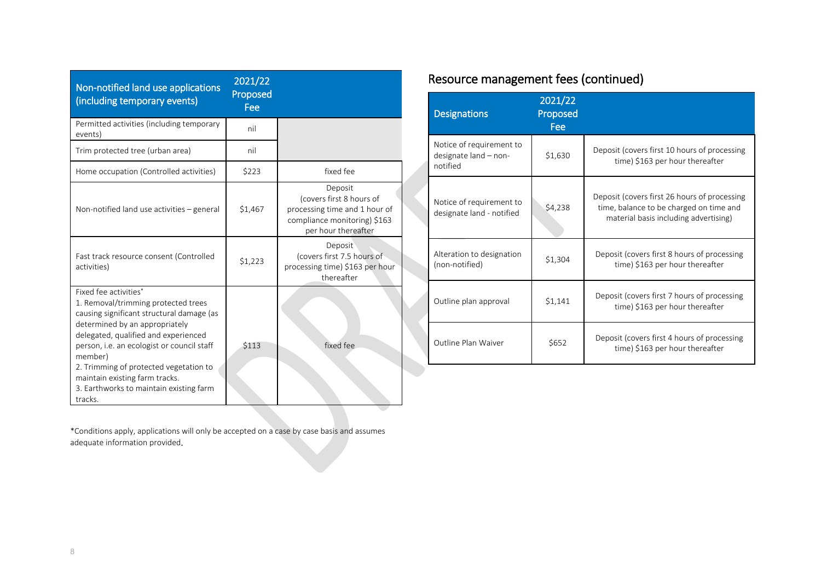| Non-notified land use applications<br>(including temporary events)                                                                                                                                                                                                                                                                                                             | 2021/22<br>Proposed<br>Fee |                                                                                                                             |
|--------------------------------------------------------------------------------------------------------------------------------------------------------------------------------------------------------------------------------------------------------------------------------------------------------------------------------------------------------------------------------|----------------------------|-----------------------------------------------------------------------------------------------------------------------------|
| Permitted activities (including temporary<br>events)                                                                                                                                                                                                                                                                                                                           | nil                        |                                                                                                                             |
| Trim protected tree (urban area)                                                                                                                                                                                                                                                                                                                                               | nil                        |                                                                                                                             |
| Home occupation (Controlled activities)                                                                                                                                                                                                                                                                                                                                        | \$223                      | fixed fee                                                                                                                   |
| Non-notified land use activities - general                                                                                                                                                                                                                                                                                                                                     | \$1,467                    | Deposit<br>(covers first 8 hours of<br>processing time and 1 hour of<br>compliance monitoring) \$163<br>per hour thereafter |
| Fast track resource consent (Controlled<br>activities)                                                                                                                                                                                                                                                                                                                         | \$1,223                    | Deposit<br>(covers first 7.5 hours of<br>processing time) \$163 per hour<br>thereafter                                      |
| Fixed fee activities*<br>1. Removal/trimming protected trees<br>causing significant structural damage (as<br>determined by an appropriately<br>delegated, qualified and experienced<br>person, i.e. an ecologist or council staff<br>member)<br>2. Trimming of protected vegetation to<br>maintain existing farm tracks.<br>3. Earthworks to maintain existing farm<br>tracks. | <b>\$113</b>               | fixed fee                                                                                                                   |

# Resource management fees (continued)

| <b>Designations</b>                                           | 2021/22<br>Proposed<br>Fee |                                                                                                                                  |
|---------------------------------------------------------------|----------------------------|----------------------------------------------------------------------------------------------------------------------------------|
| Notice of requirement to<br>designate land - non-<br>notified | \$1,630                    | Deposit (covers first 10 hours of processing<br>time) \$163 per hour thereafter                                                  |
| Notice of requirement to<br>designate land - notified         | \$4,238                    | Deposit (covers first 26 hours of processing<br>time, balance to be charged on time and<br>material basis including advertising) |
| Alteration to designation<br>(non-notified)                   | \$1,304                    | Deposit (covers first 8 hours of processing<br>time) \$163 per hour thereafter                                                   |
| Outline plan approval                                         | \$1,141                    | Deposit (covers first 7 hours of processing<br>time) \$163 per hour thereafter                                                   |
| Outline Plan Waiver                                           | \$652                      | Deposit (covers first 4 hours of processing<br>time) \$163 per hour thereafter                                                   |

\*Conditions apply, applications will only be accepted on a case by case basis and assumes adequate information provided.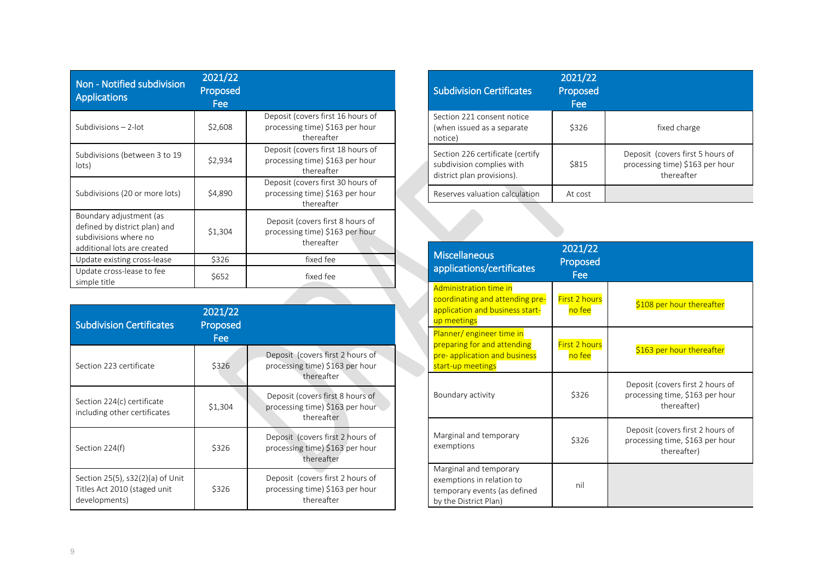| Non - Notified subdivision<br><b>Applications</b>                                                                | 2021/22<br><b>Proposed</b><br>Fee |                                                                                    |
|------------------------------------------------------------------------------------------------------------------|-----------------------------------|------------------------------------------------------------------------------------|
| Subdivisions $-2$ -lot                                                                                           | \$2,608                           | Deposit (covers first 16 hours of<br>processing time) \$163 per hour<br>thereafter |
| Subdivisions (between 3 to 19<br>lots)                                                                           | \$2,934                           | Deposit (covers first 18 hours of<br>processing time) \$163 per hour<br>thereafter |
| Subdivisions (20 or more lots)                                                                                   | \$4,890                           | Deposit (covers first 30 hours of<br>processing time) \$163 per hour<br>thereafter |
| Boundary adjustment (as<br>defined by district plan) and<br>subdivisions where no<br>additional lots are created | \$1,304                           | Deposit (covers first 8 hours of<br>processing time) \$163 per hour<br>thereafter  |
| Update existing cross-lease                                                                                      | \$326                             | fixed fee                                                                          |
| Update cross-lease to fee<br>simple title                                                                        | \$652                             | fixed fee                                                                          |

| <b>Subdivision Certificates</b>                                                   | 2021/22<br>Proposed<br>Fee |                                                                                   |
|-----------------------------------------------------------------------------------|----------------------------|-----------------------------------------------------------------------------------|
| Section 223 certificate                                                           | \$326                      | Deposit (covers first 2 hours of<br>processing time) \$163 per hour<br>thereafter |
| Section 224(c) certificate<br>including other certificates                        | \$1,304                    | Deposit (covers first 8 hours of<br>processing time) \$163 per hour<br>thereafter |
| Section 224(f)                                                                    | \$326                      | Deposit (covers first 2 hours of<br>processing time) \$163 per hour<br>thereafter |
| Section 25(5), s32(2)(a) of Unit<br>Titles Act 2010 (staged unit<br>developments) | \$326                      | Deposit (covers first 2 hours of<br>processing time) \$163 per hour<br>thereafter |

| <b>Subdivision Certificates</b>                                                             | 2021/22<br>Proposed<br>Fee |                                                                                   |
|---------------------------------------------------------------------------------------------|----------------------------|-----------------------------------------------------------------------------------|
| Section 221 consent notice<br>(when issued as a separate<br>notice)                         | \$326                      | fixed charge                                                                      |
| Section 226 certificate (certify<br>subdivision complies with<br>district plan provisions). | \$815                      | Deposit (covers first 5 hours of<br>processing time) \$163 per hour<br>thereafter |
| Reserves valuation calculation                                                              | At cost                    |                                                                                   |

| <b>Miscellaneous</b><br>applications/certificates                                                             | 2021/22<br>Proposed<br>Fee     |                                                                                    |
|---------------------------------------------------------------------------------------------------------------|--------------------------------|------------------------------------------------------------------------------------|
| Administration time in<br>coordinating and attending pre-<br>application and business start-<br>up meetings   | First 2 hours<br>no fee        | \$108 per hour thereafter                                                          |
| Planner/engineer time in<br>preparing for and attending<br>pre- application and business<br>start-up meetings | <b>First 2 hours</b><br>no fee | \$163 per hour thereafter                                                          |
| Boundary activity                                                                                             | \$326                          | Deposit (covers first 2 hours of<br>processing time, \$163 per hour<br>thereafter) |
| Marginal and temporary<br>exemptions                                                                          | \$326                          | Deposit (covers first 2 hours of<br>processing time, \$163 per hour<br>thereafter) |
| Marginal and temporary<br>exemptions in relation to<br>temporary events (as defined<br>by the District Plan)  | nil                            |                                                                                    |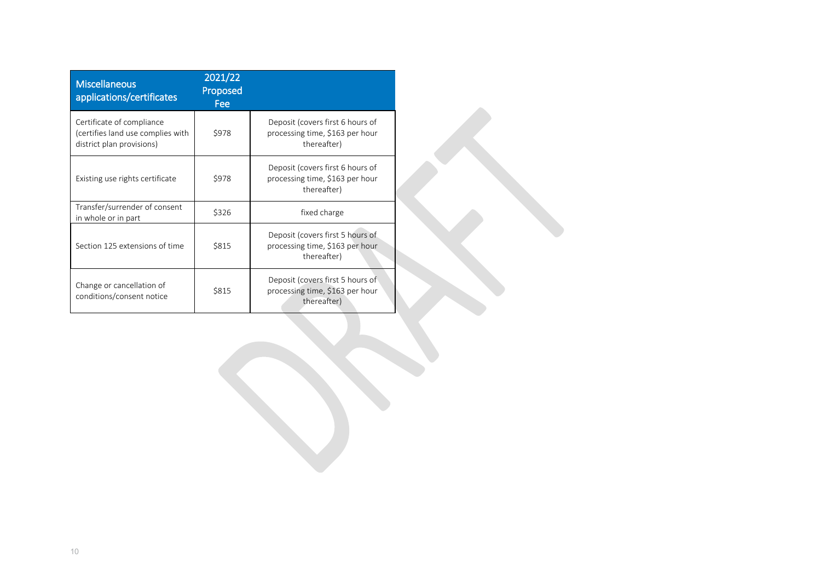| <b>Miscellaneous</b><br>applications/certificates                                           | 2021/22<br>Proposed<br>Fee |                                                                                    |
|---------------------------------------------------------------------------------------------|----------------------------|------------------------------------------------------------------------------------|
| Certificate of compliance<br>(certifies land use complies with<br>district plan provisions) | \$978                      | Deposit (covers first 6 hours of<br>processing time, \$163 per hour<br>thereafter) |
| Existing use rights certificate                                                             | \$978                      | Deposit (covers first 6 hours of<br>processing time, \$163 per hour<br>thereafter) |
| Transfer/surrender of consent<br>in whole or in part                                        | \$326                      | fixed charge                                                                       |
| Section 125 extensions of time                                                              | \$815                      | Deposit (covers first 5 hours of<br>processing time, \$163 per hour<br>thereafter) |
| Change or cancellation of<br>conditions/consent notice                                      | \$815                      | Deposit (covers first 5 hours of<br>processing time, \$163 per hour<br>thereafter) |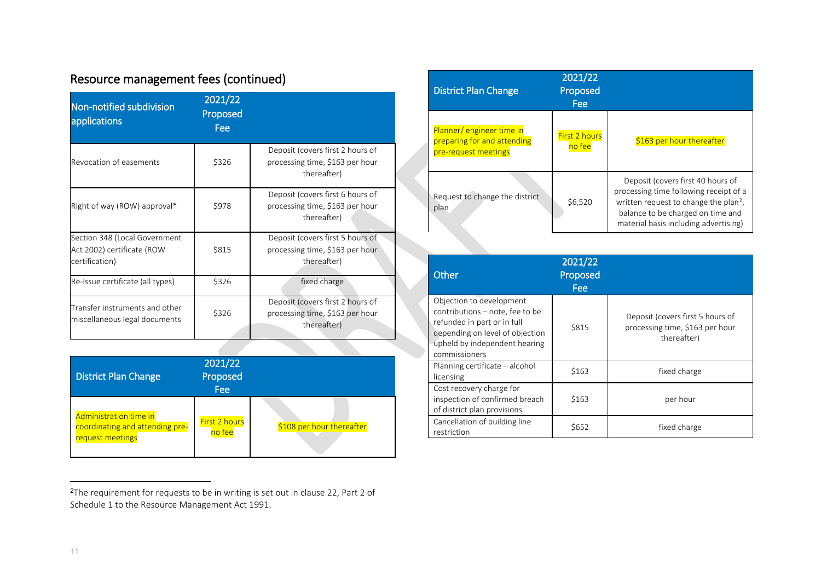| Non-notified subdivision<br>applications                                      | 2021/22<br>Proposed<br>Fee |                                                                                    |
|-------------------------------------------------------------------------------|----------------------------|------------------------------------------------------------------------------------|
| Revocation of easements                                                       | \$326                      | Deposit (covers first 2 hours of<br>processing time, \$163 per hour<br>thereafter) |
| Right of way (ROW) approval*                                                  | \$978                      | Deposit (covers first 6 hours of<br>processing time, \$163 per hour<br>thereafter) |
| Section 348 (Local Government<br>Act 2002) certificate (ROW<br>certification) | \$815                      | Deposit (covers first 5 hours of<br>processing time, \$163 per hour<br>thereafter) |
| Re-Issue certificate (all types)                                              | \$326                      | fixed charge                                                                       |
| Transfer instruments and other<br>miscellaneous legal documents               | \$326                      | Deposit (covers first 2 hours of<br>processing time, \$163 per hour<br>thereafter) |

# Resource management fees (continued)

| <b>District Plan Change</b>                                                   | 2021/22<br>Proposed<br>Fee     |                           |
|-------------------------------------------------------------------------------|--------------------------------|---------------------------|
| Administration time in<br>coordinating and attending pre-<br>request meetings | <b>First 2 hours</b><br>no fee | \$108 per hour thereafter |

#### <sup>2</sup>The requirement for requests to be in writing is set out in clause 22, Part 2 of Schedule 1 to the Resource Management Act 1991.

<span id="page-10-0"></span>

| <b>District Plan Change</b>                                                     | 2021/22<br>Proposed<br>Fee     |                                                                                                                                                                                                                |
|---------------------------------------------------------------------------------|--------------------------------|----------------------------------------------------------------------------------------------------------------------------------------------------------------------------------------------------------------|
| Planner/engineer time in<br>preparing for and attending<br>pre-request meetings | <b>First 2 hours</b><br>no fee | \$163 per hour thereafter                                                                                                                                                                                      |
| Request to change the district<br>plan                                          | \$6,520                        | Deposit (covers first 40 hours of<br>processing time following receipt of a<br>written request to change the plan <sup>2</sup> ,<br>balance to be charged on time and<br>material basis including advertising) |

| Other                                                                                                                                                                           | 2021/22<br>Proposed<br><b>Fee</b> |                                                                                    |
|---------------------------------------------------------------------------------------------------------------------------------------------------------------------------------|-----------------------------------|------------------------------------------------------------------------------------|
| Objection to development<br>contributions - note, fee to be<br>refunded in part or in full<br>depending on level of objection<br>upheld by independent hearing<br>commissioners | \$815                             | Deposit (covers first 5 hours of<br>processing time, \$163 per hour<br>thereafter) |
| Planning certificate – alcohol<br>licensing                                                                                                                                     | \$163                             | fixed charge                                                                       |
| Cost recovery charge for<br>inspection of confirmed breach<br>of district plan provisions                                                                                       | \$163                             | per hour                                                                           |
| Cancellation of building line<br>restriction                                                                                                                                    | \$652                             | fixed charge                                                                       |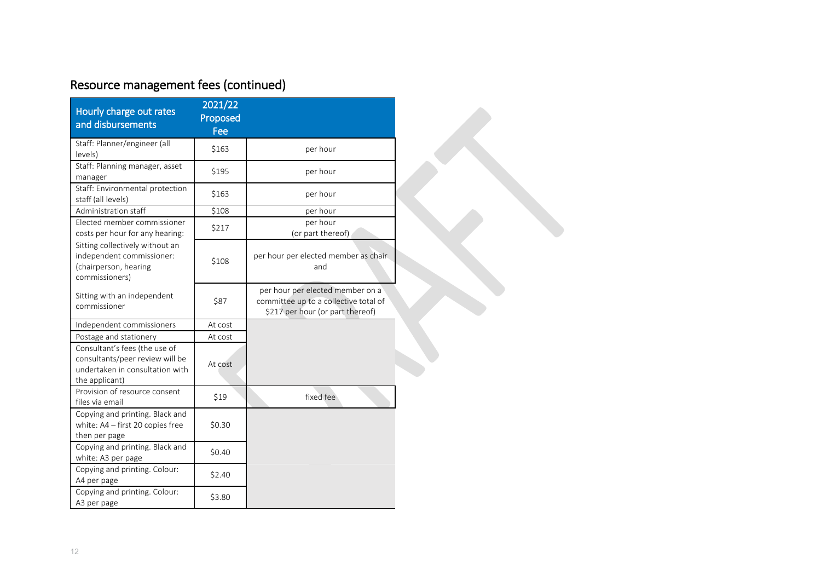# Resource management fees (continued)

| Hourly charge out rates<br>and disbursements                                                                          | 2021/22<br>Proposed<br>Fee |                                                                                                               |
|-----------------------------------------------------------------------------------------------------------------------|----------------------------|---------------------------------------------------------------------------------------------------------------|
| Staff: Planner/engineer (all<br>levels)                                                                               | \$163                      | per hour                                                                                                      |
| Staff: Planning manager, asset<br>manager                                                                             | \$195                      | per hour                                                                                                      |
| Staff: Environmental protection<br>staff (all levels)                                                                 | \$163                      | per hour                                                                                                      |
| Administration staff                                                                                                  | \$108                      | per hour                                                                                                      |
| Elected member commissioner<br>costs per hour for any hearing:                                                        | \$217                      | per hour<br>(or part thereof)                                                                                 |
| Sitting collectively without an<br>independent commissioner:<br>(chairperson, hearing<br>commissioners)               | \$108                      | per hour per elected member as chair<br>and                                                                   |
| Sitting with an independent<br>commissioner                                                                           | \$87                       | per hour per elected member on a<br>committee up to a collective total of<br>\$217 per hour (or part thereof) |
| Independent commissioners                                                                                             | At cost                    |                                                                                                               |
| Postage and stationery                                                                                                | At cost                    |                                                                                                               |
| Consultant's fees (the use of<br>consultants/peer review will be<br>undertaken in consultation with<br>the applicant) | At cost                    |                                                                                                               |
| Provision of resource consent<br>files via email                                                                      | \$19                       | fixed fee                                                                                                     |
| Copying and printing. Black and<br>white: A4 - first 20 copies free<br>then per page                                  | \$0.30                     |                                                                                                               |
| Copying and printing. Black and<br>white: A3 per page                                                                 | \$0.40                     |                                                                                                               |
| Copying and printing. Colour:<br>A4 per page                                                                          | \$2.40                     |                                                                                                               |
| Copying and printing. Colour:<br>A3 per page                                                                          | \$3.80                     |                                                                                                               |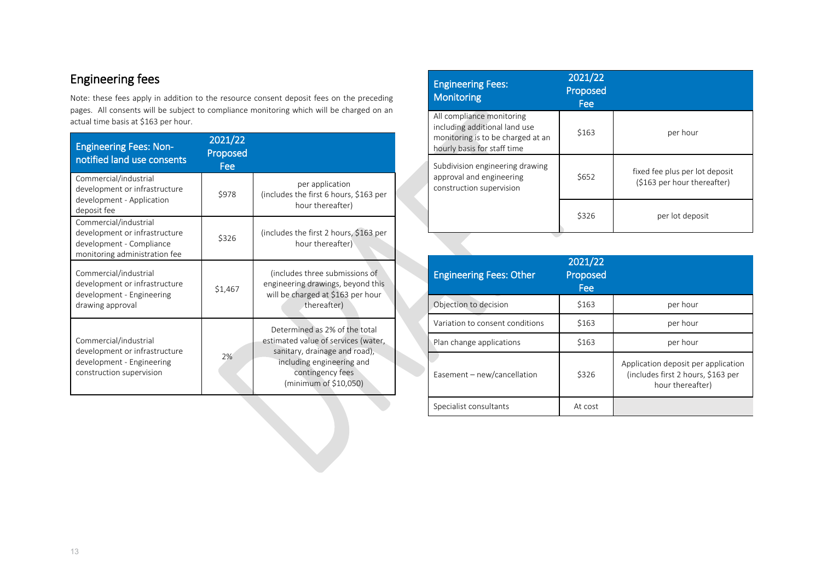# Engineering fees

Note: these fees apply in addition to the resource consent deposit fees on the preceding pages. All consents will be subject to compliance monitoring which will be charged on an actual time basis at \$163 per hour.

| <b>Engineering Fees: Non-</b><br>notified land use consents                                                         | 2021/22<br><b>Proposed</b><br>Fee |                                                                                                                                                                                 |
|---------------------------------------------------------------------------------------------------------------------|-----------------------------------|---------------------------------------------------------------------------------------------------------------------------------------------------------------------------------|
| Commercial/industrial<br>development or infrastructure<br>development - Application<br>deposit fee                  | \$978                             | per application<br>(includes the first 6 hours, \$163 per<br>hour thereafter)                                                                                                   |
| Commercial/industrial<br>development or infrastructure<br>development - Compliance<br>monitoring administration fee | \$326                             | (includes the first 2 hours, \$163 per<br>hour thereafter)                                                                                                                      |
| Commercial/industrial<br>development or infrastructure<br>development - Engineering<br>drawing approval             | \$1,467                           | (includes three submissions of<br>engineering drawings, beyond this<br>will be charged at \$163 per hour<br>thereafter)                                                         |
| Commercial/industrial<br>development or infrastructure<br>development - Engineering<br>construction supervision     | 2%                                | Determined as 2% of the total<br>estimated value of services (water,<br>sanitary, drainage and road),<br>including engineering and<br>contingency fees<br>(minimum of \$10,050) |

| <b>Engineering Fees:</b><br><b>Monitoring</b>                                                                                  | 2021/22<br>Proposed<br>Fee |                                                               |
|--------------------------------------------------------------------------------------------------------------------------------|----------------------------|---------------------------------------------------------------|
| All compliance monitoring<br>including additional land use<br>monitoring is to be charged at an<br>hourly basis for staff time | \$163                      | per hour                                                      |
| Subdivision engineering drawing<br>approval and engineering<br>construction supervision                                        | \$652                      | fixed fee plus per lot deposit<br>(\$163 per hour thereafter) |
|                                                                                                                                | \$326                      | per lot deposit                                               |

| <b>Engineering Fees: Other</b>  | 2021/22<br>Proposed<br>Fee |                                                                                               |
|---------------------------------|----------------------------|-----------------------------------------------------------------------------------------------|
| Objection to decision           | \$163                      | per hour                                                                                      |
| Variation to consent conditions | \$163                      | per hour                                                                                      |
| Plan change applications        | \$163                      | per hour                                                                                      |
| Easement - new/cancellation     | \$326                      | Application deposit per application<br>(includes first 2 hours, \$163 per<br>hour thereafter) |
| Specialist consultants          | At cost                    |                                                                                               |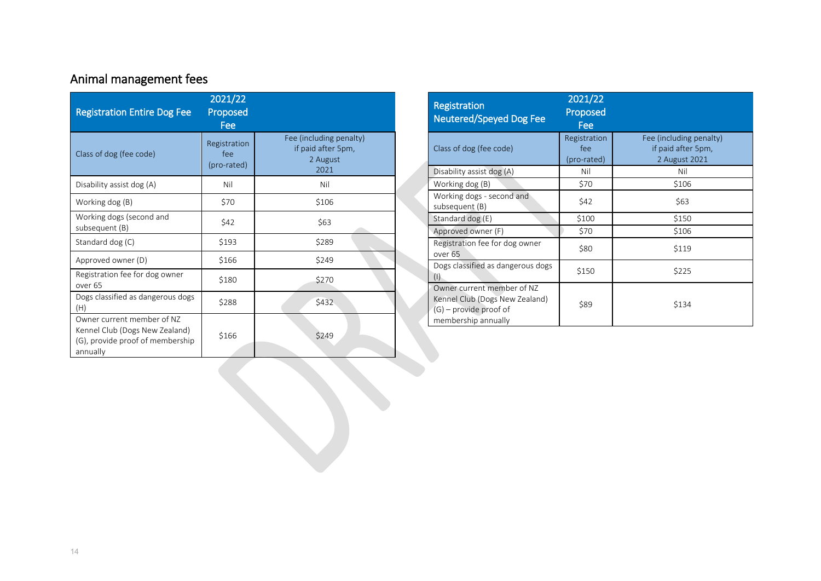# Animal management fees

| <b>Registration Entire Dog Fee</b>                                                                           | 2021/22<br>Proposed<br>Fee         |                                                                   |
|--------------------------------------------------------------------------------------------------------------|------------------------------------|-------------------------------------------------------------------|
| Class of dog (fee code)                                                                                      | Registration<br>fee<br>(pro-rated) | Fee (including penalty)<br>if paid after 5pm,<br>2 August<br>2021 |
| Disability assist dog (A)                                                                                    | Nil                                | Nil                                                               |
| Working dog (B)                                                                                              | \$70                               | \$106                                                             |
| Working dogs (second and<br>subsequent (B)                                                                   | \$42                               | \$63                                                              |
| Standard dog (C)                                                                                             | \$193                              | \$289                                                             |
| Approved owner (D)                                                                                           | \$166                              | \$249                                                             |
| Registration fee for dog owner<br>over <sub>65</sub>                                                         | \$180                              | \$270                                                             |
| Dogs classified as dangerous dogs<br>(H)                                                                     | \$288                              | \$432                                                             |
| Owner current member of NZ<br>Kennel Club (Dogs New Zealand)<br>(G), provide proof of membership<br>annually | \$166                              | \$249                                                             |

| <b>Registration</b><br><b>Neutered/Speyed Dog Fee</b>                                                           | 2021/22<br>Proposed<br>Fee         |                                                                |
|-----------------------------------------------------------------------------------------------------------------|------------------------------------|----------------------------------------------------------------|
| Class of dog (fee code)                                                                                         | Registration<br>fee<br>(pro-rated) | Fee (including penalty)<br>if paid after 5pm,<br>2 August 2021 |
| Disability assist dog (A)                                                                                       | Nil                                | Nil                                                            |
| Working dog (B)                                                                                                 | \$70                               | \$106                                                          |
| Working dogs - second and<br>subsequent (B)                                                                     | \$42                               | \$63                                                           |
| Standard dog (E)                                                                                                | \$100                              | \$150                                                          |
| Approved owner (F)                                                                                              | \$70                               | \$106                                                          |
| Registration fee for dog owner<br>over 65                                                                       | \$80                               | \$119                                                          |
| Dogs classified as dangerous dogs<br>(1)                                                                        | \$150                              | \$225                                                          |
| Owner current member of NZ<br>Kennel Club (Dogs New Zealand)<br>$(G)$ – provide proof of<br>membership annually | \$89                               | \$134                                                          |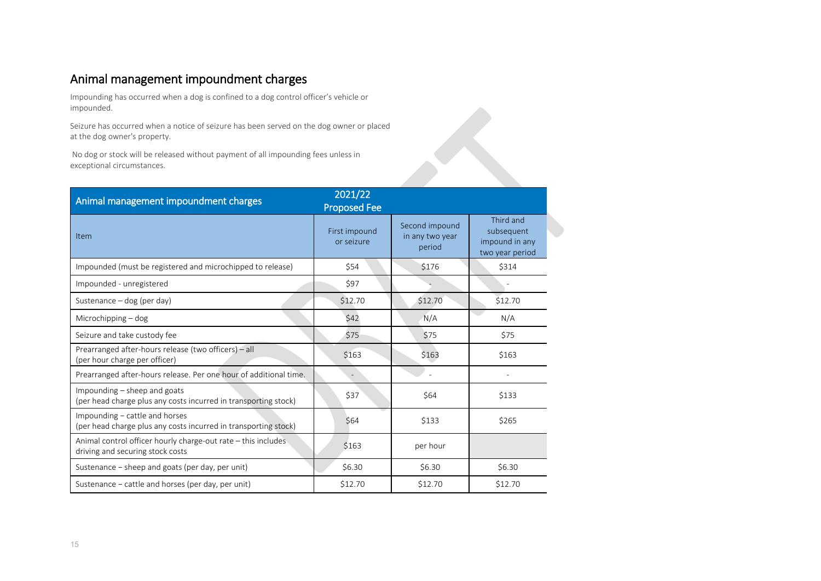### Animal management impoundment charges

Impounding has occurred when a dog is confined to a dog control officer's vehicle or impounded.

Seizure has occurred when a notice of seizure has been served on the dog owner or placed at the dog owner's property.

| C HUJ OCCUTTCU WITCH U HOLICC OF JCIZUI C HUJ DCCH JCI VCU OH LIIC UOG OWHCH OF DIUCCU<br>at the dog owner's property. |                                |                                             |                                                              |  |  |
|------------------------------------------------------------------------------------------------------------------------|--------------------------------|---------------------------------------------|--------------------------------------------------------------|--|--|
| No dog or stock will be released without payment of all impounding fees unless in<br>exceptional circumstances.        |                                |                                             |                                                              |  |  |
| Animal management impoundment charges                                                                                  | 2021/22<br><b>Proposed Fee</b> |                                             |                                                              |  |  |
| Item                                                                                                                   | First impound<br>or seizure    | Second impound<br>in any two year<br>period | Third and<br>subsequent<br>impound in any<br>two year period |  |  |
| Impounded (must be registered and microchipped to release)                                                             | \$54                           | \$176                                       | \$314                                                        |  |  |
| Impounded - unregistered                                                                                               | \$97                           |                                             |                                                              |  |  |
| Sustenance - dog (per day)                                                                                             | \$12.70                        | \$12.70                                     | \$12.70                                                      |  |  |
| Microchipping - dog                                                                                                    | \$42                           | N/A                                         | N/A                                                          |  |  |
| Seizure and take custody fee                                                                                           | \$75                           | \$75                                        | \$75                                                         |  |  |
| Prearranged after-hours release (two officers) - all<br>(per hour charge per officer)                                  | \$163                          | \$163                                       | \$163                                                        |  |  |
| Prearranged after-hours release. Per one hour of additional time.                                                      | $\overline{a}$                 |                                             |                                                              |  |  |
| Impounding - sheep and goats<br>(per head charge plus any costs incurred in transporting stock)                        | \$37                           | \$64                                        | \$133                                                        |  |  |
| Impounding - cattle and horses<br>(per head charge plus any costs incurred in transporting stock)                      | \$64                           | \$133                                       | \$265                                                        |  |  |
| Animal control officer hourly charge-out rate - this includes<br>driving and securing stock costs                      | \$163                          | per hour                                    |                                                              |  |  |
| Sustenance - sheep and goats (per day, per unit)                                                                       | \$6.30                         | \$6.30                                      | \$6.30                                                       |  |  |
| Sustenance - cattle and horses (per day, per unit)                                                                     | \$12.70                        | \$12.70                                     | \$12.70                                                      |  |  |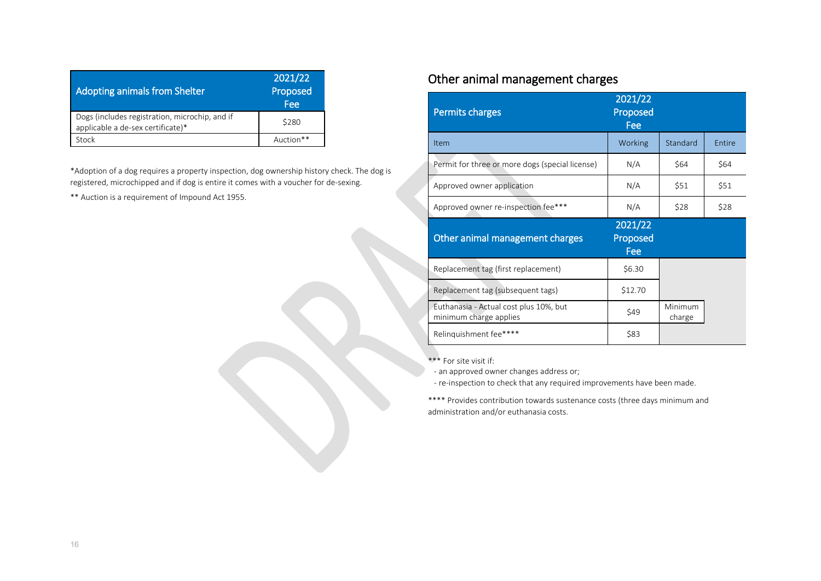| Adopting animals from Shelter                                                       | 2021/22<br>Proposed<br>Fee |
|-------------------------------------------------------------------------------------|----------------------------|
| Dogs (includes registration, microchip, and if<br>applicable a de-sex certificate)* | \$280                      |
| Stock                                                                               | Auction**                  |

\*Adoption of a dog requires a property inspection, dog ownership history check. The dog is registered, microchipped and if dog is entire it comes with a voucher for de-sexing.

\*\* Auction is a requirement of Impound Act 1955.

#### Other animal management charges

| <b>Permits charges</b>                                           | 2021/22<br>Proposed<br>Fee |                   |        |
|------------------------------------------------------------------|----------------------------|-------------------|--------|
| Item                                                             | Working                    | Standard          | Entire |
| Permit for three or more dogs (special license)                  | N/A                        | \$64              | \$64   |
| Approved owner application                                       | N/A                        | \$51              | \$51   |
| Approved owner re-inspection fee***                              | N/A                        | \$28              | \$28   |
|                                                                  |                            |                   |        |
| Other animal management charges                                  | 2021/22<br>Proposed<br>Fee |                   |        |
| Replacement tag (first replacement)                              | \$6.30                     |                   |        |
| Replacement tag (subsequent tags)                                | \$12.70                    |                   |        |
| Euthanasia - Actual cost plus 10%, but<br>minimum charge applies | \$49                       | Minimum<br>charge |        |

\*\*\* For site visit if:

- an approved owner changes address or;

- re-inspection to check that any required improvements have been made.

\*\*\*\* Provides contribution towards sustenance costs (three days minimum and administration and/or euthanasia costs.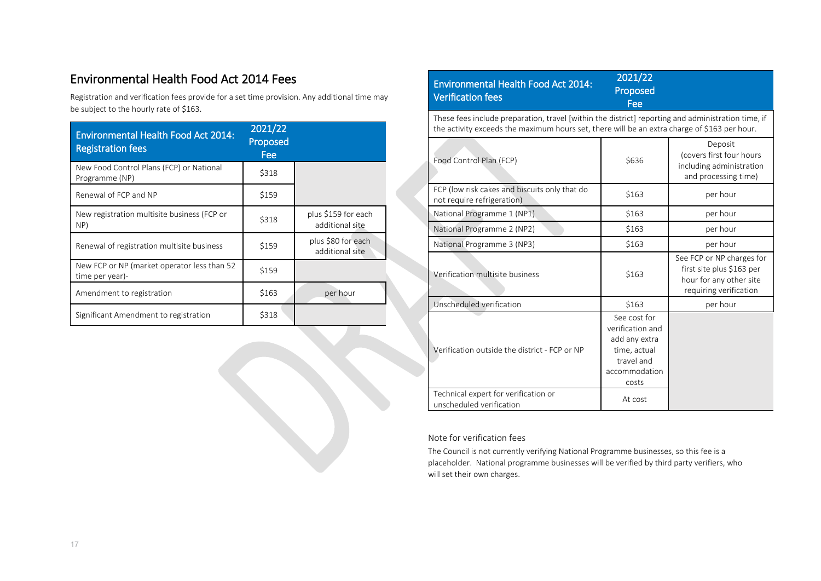#### Environmental Health Food Act 2014 Fees

Registration and verification fees provide for a set time provision. Any additional time may be subject to the hourly rate of \$163.

| <b>Environmental Health Food Act 2014:</b><br><b>Registration fees</b> | 2021/22<br>Proposed<br>Fee |                                        |
|------------------------------------------------------------------------|----------------------------|----------------------------------------|
| New Food Control Plans (FCP) or National<br>Programme (NP)             | \$318                      |                                        |
| Renewal of FCP and NP                                                  | \$159                      |                                        |
| New registration multisite business (FCP or<br>NP)                     | \$318                      | plus \$159 for each<br>additional site |
| Renewal of registration multisite business                             | \$159                      | plus \$80 for each<br>additional site  |
| New FCP or NP (market operator less than 52<br>time per year)-         | \$159                      |                                        |
| Amendment to registration                                              | \$163                      | per hour                               |
| Significant Amendment to registration                                  | \$318                      |                                        |

| <b>Environmental Health Food Act 2014:</b><br><b>Verification fees</b>                                                                                                                             | 2021/22<br>Proposed<br>Fee                                                                                |                                                                                                             |  |  |  |
|----------------------------------------------------------------------------------------------------------------------------------------------------------------------------------------------------|-----------------------------------------------------------------------------------------------------------|-------------------------------------------------------------------------------------------------------------|--|--|--|
| These fees include preparation, travel [within the district] reporting and administration time, if<br>the activity exceeds the maximum hours set, there will be an extra charge of \$163 per hour. |                                                                                                           |                                                                                                             |  |  |  |
| Food Control Plan (FCP)                                                                                                                                                                            | \$636                                                                                                     | Deposit<br>(covers first four hours<br>including administration<br>and processing time)                     |  |  |  |
| FCP (low risk cakes and biscuits only that do<br>not require refrigeration)                                                                                                                        | \$163                                                                                                     | per hour                                                                                                    |  |  |  |
| National Programme 1 (NP1)                                                                                                                                                                         | \$163                                                                                                     | per hour                                                                                                    |  |  |  |
| National Programme 2 (NP2)                                                                                                                                                                         | \$163                                                                                                     | per hour                                                                                                    |  |  |  |
| National Programme 3 (NP3)                                                                                                                                                                         | \$163                                                                                                     | per hour                                                                                                    |  |  |  |
| Verification multisite business                                                                                                                                                                    | \$163                                                                                                     | See FCP or NP charges for<br>first site plus \$163 per<br>hour for any other site<br>requiring verification |  |  |  |
| Unscheduled verification                                                                                                                                                                           | \$163                                                                                                     | per hour                                                                                                    |  |  |  |
| Verification outside the district - FCP or NP                                                                                                                                                      | See cost for<br>verification and<br>add any extra<br>time, actual<br>travel and<br>accommodation<br>costs |                                                                                                             |  |  |  |
| Technical expert for verification or<br>unscheduled verification                                                                                                                                   | At cost                                                                                                   |                                                                                                             |  |  |  |

#### Note for verification fees

The Council is not currently verifying National Programme businesses, so this fee is a placeholder. National programme businesses will be verified by third party verifiers, who will set their own charges.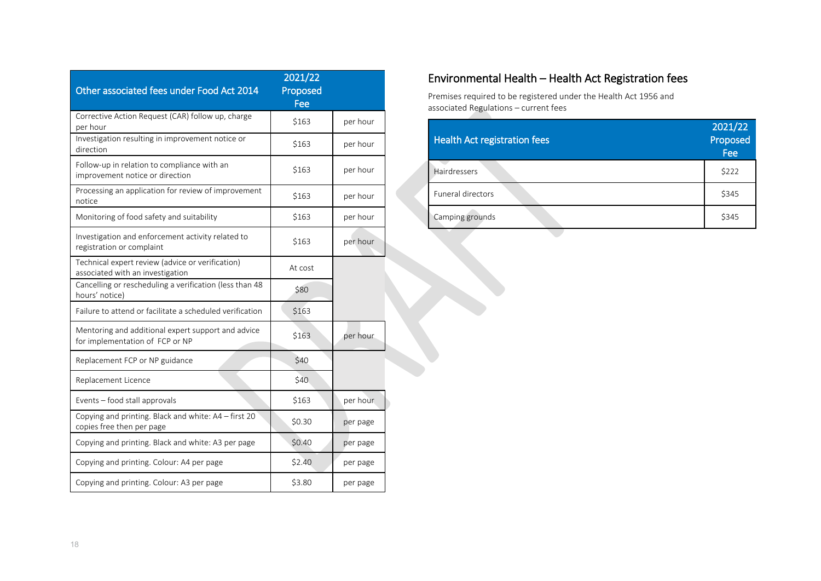| Other associated fees under Food Act 2014                                             | 2021/22<br>Proposed<br>Fee |          |
|---------------------------------------------------------------------------------------|----------------------------|----------|
| Corrective Action Request (CAR) follow up, charge<br>per hour                         | \$163                      | per hour |
| Investigation resulting in improvement notice or<br>direction                         | \$163                      | per hour |
| Follow-up in relation to compliance with an<br>improvement notice or direction        | \$163                      | per hour |
| Processing an application for review of improvement<br>notice                         | \$163                      | per hour |
| Monitoring of food safety and suitability                                             | \$163                      | per hour |
| Investigation and enforcement activity related to<br>registration or complaint        | \$163                      | per hour |
| Technical expert review (advice or verification)<br>associated with an investigation  | At cost                    |          |
| Cancelling or rescheduling a verification (less than 48<br>hours' notice)             | \$80                       |          |
| Failure to attend or facilitate a scheduled verification                              | \$163                      |          |
| Mentoring and additional expert support and advice<br>for implementation of FCP or NP | \$163                      | per hour |
| Replacement FCP or NP guidance                                                        | \$40                       |          |
| Replacement Licence                                                                   | \$40                       |          |
| Events - food stall approvals                                                         | \$163                      | per hour |
| Copying and printing. Black and white: A4 - first 20<br>copies free then per page     | \$0.30                     | per page |
| Copying and printing. Black and white: A3 per page                                    | \$0.40                     | per page |
| Copying and printing. Colour: A4 per page                                             | \$2.40                     | per page |
| Copying and printing. Colour: A3 per page                                             | \$3.80                     | per page |

#### Environmental Health – Health Act Registration fees

Premises required to be registered under the Health Act 1956 and associated Regulations – current fees

| Fee   |
|-------|
| \$222 |
| \$345 |
| \$345 |
|       |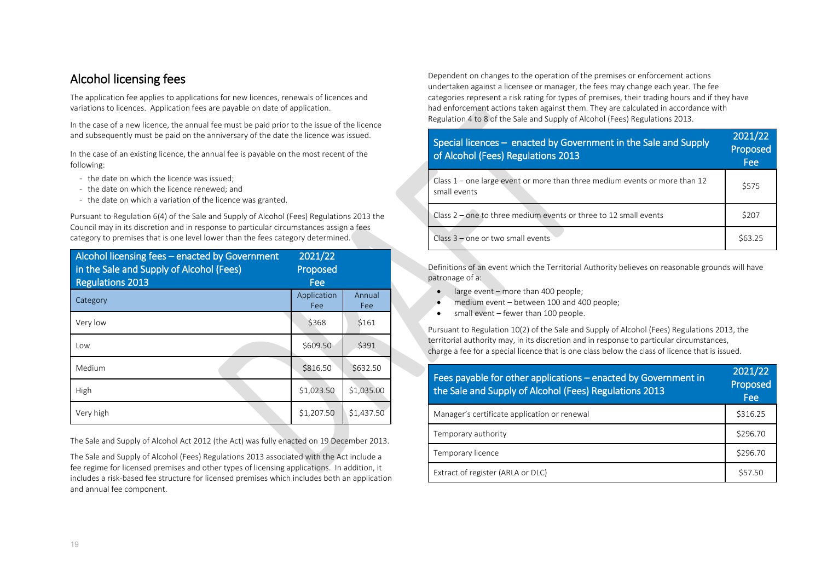#### Alcohol licensing fees

The application fee applies to applications for new licences, renewals of licences and variations to licences. Application fees are payable on date of application.

In the case of a new licence, the annual fee must be paid prior to the issue of the licence and subsequently must be paid on the anniversary of the date the licence was issued.

In the case of an existing licence, the annual fee is payable on the most recent of the following:

- the date on which the licence was issued;
- the date on which the licence renewed; and
- the date on which a variation of the licence was granted.

Pursuant to Regulation 6(4) of the Sale and Supply of Alcohol (Fees) Regulations 2013 the Council may in its discretion and in response to particular circumstances assign a fees category to premises that is one level lower than the fees category determined.

| Alcohol licensing fees - enacted by Government<br>in the Sale and Supply of Alcohol (Fees)<br><b>Regulations 2013</b> | 2021/22<br>Proposed<br>Fee |               |
|-----------------------------------------------------------------------------------------------------------------------|----------------------------|---------------|
| Category                                                                                                              | Application<br>Fee         | Annual<br>Fee |
| Very low                                                                                                              | \$368                      | \$161         |
| Low                                                                                                                   | \$609.50                   | \$391         |
| Medium                                                                                                                | \$816.50                   | \$632.50      |
| High                                                                                                                  | \$1,023.50                 | \$1,035.00    |
| Very high                                                                                                             | \$1,207.50                 | \$1,437.50    |

The Sale and Supply of Alcohol Act 2012 (the Act) was fully enacted on 19 December 2013.

The Sale and Supply of Alcohol (Fees) Regulations 2013 associated with the Act include a fee regime for licensed premises and other types of licensing applications. In addition, it includes a risk-based fee structure for licensed premises which includes both an application and annual fee component.

Dependent on changes to the operation of the premises or enforcement actions undertaken against a licensee or manager, the fees may change each year. The fee categories represent a risk rating for types of premises, their trading hours and if they have had enforcement actions taken against them. They are calculated in accordance with Regulation 4 to 8 of the Sale and Supply of Alcohol (Fees) Regulations 2013.

| Special licences – enacted by Government in the Sale and Supply<br>of Alcohol (Fees) Regulations 2013 |        |
|-------------------------------------------------------------------------------------------------------|--------|
| Class $1$ – one large event or more than three medium events or more than 12<br>small events          | \$575  |
| Class 2 - one to three medium events or three to 12 small events                                      | \$207  |
| Class $3$ – one or two small events                                                                   | S63.25 |

Definitions of an event which the Territorial Authority believes on reasonable grounds will have patronage of a:

- large event more than 400 people:
- medium event between 100 and 400 people;
- small event fewer than 100 people.

Pursuant to Regulation 10(2) of the Sale and Supply of Alcohol (Fees) Regulations 2013, the territorial authority may, in its discretion and in response to particular circumstances, charge a fee for a special licence that is one class below the class of licence that is issued.

| Fees payable for other applications - enacted by Government in<br>the Sale and Supply of Alcohol (Fees) Regulations 2013 | 2021/22<br>Proposed<br><b>Fee</b> |
|--------------------------------------------------------------------------------------------------------------------------|-----------------------------------|
| Manager's certificate application or renewal                                                                             | \$316.25                          |
| Temporary authority                                                                                                      | \$296.70                          |
| Temporary licence                                                                                                        | \$296.70                          |
| Extract of register (ARLA or DLC)                                                                                        | \$57.50                           |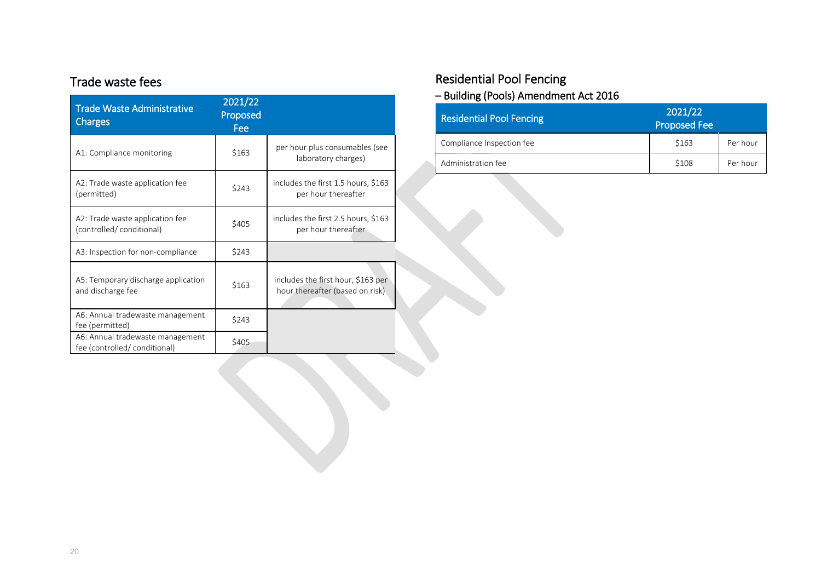#### Trade waste fees

| <b>Trade Waste Administrative</b><br>Charges                      | 2021/22<br>Proposed<br>Fee |                                                                       |
|-------------------------------------------------------------------|----------------------------|-----------------------------------------------------------------------|
| A1: Compliance monitoring                                         | \$163                      | per hour plus consumables (see<br>laboratory charges)                 |
| A2: Trade waste application fee<br>(permitted)                    | \$243                      | includes the first 1.5 hours, \$163<br>per hour thereafter            |
| A2: Trade waste application fee<br>(controlled/conditional)       | \$405                      | includes the first 2.5 hours, \$163<br>per hour thereafter            |
| A3: Inspection for non-compliance                                 | \$243                      |                                                                       |
| A5: Temporary discharge application<br>and discharge fee          | \$163                      | includes the first hour, \$163 per<br>hour thereafter (based on risk) |
| A6: Annual tradewaste management<br>fee (permitted)               | \$243                      |                                                                       |
| A6: Annual tradewaste management<br>fee (controlled/ conditional) | \$405                      |                                                                       |

# Residential Pool Fencing

#### – Building (Pools) Amendment Act 2016

| <b>Residential Pool Fencing</b> | 2021/22<br><b>Proposed Fee</b> |          |
|---------------------------------|--------------------------------|----------|
| Compliance Inspection fee       | \$163                          | Per hour |
| Administration fee              | \$108                          | Per hour |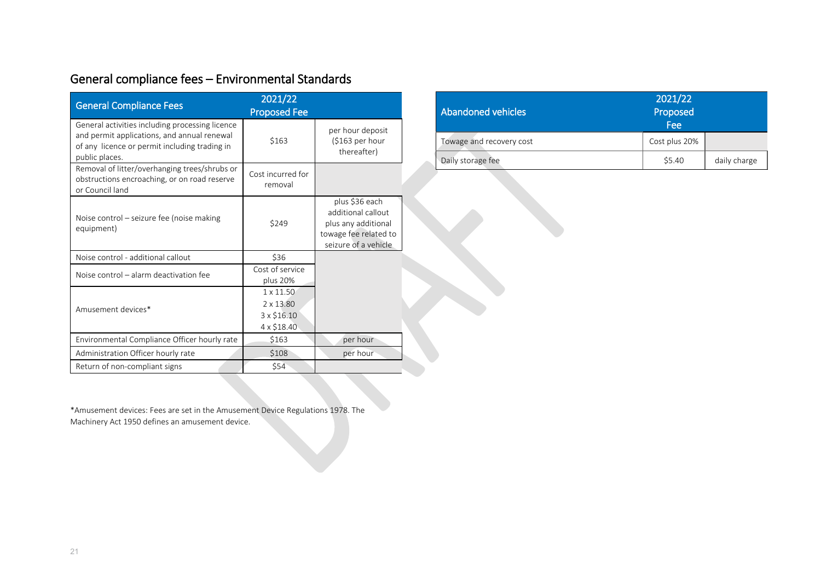| General compliance fees - Environmental Standards |
|---------------------------------------------------|
| $\frac{1}{2}$                                     |

| <b>General Compliance Fees</b>                                                                                                                                    | 2021/22<br><b>Proposed Fee</b>                                     |                                                                                                              |
|-------------------------------------------------------------------------------------------------------------------------------------------------------------------|--------------------------------------------------------------------|--------------------------------------------------------------------------------------------------------------|
| General activities including processing licence<br>and permit applications, and annual renewal<br>of any licence or permit including trading in<br>public places. | \$163                                                              | per hour deposit<br>$(5163$ per hour<br>thereafter)                                                          |
| Removal of litter/overhanging trees/shrubs or<br>obstructions encroaching, or on road reserve<br>or Council land                                                  | Cost incurred for<br>removal                                       |                                                                                                              |
| Noise control – seizure fee (noise making<br>equipment)                                                                                                           | \$249                                                              | plus \$36 each<br>additional callout<br>plus any additional<br>towage fee related to<br>seizure of a vehicle |
| Noise control - additional callout                                                                                                                                | \$36                                                               |                                                                                                              |
| Noise control - alarm deactivation fee                                                                                                                            | Cost of service<br>plus 20%                                        |                                                                                                              |
| Amusement devices*                                                                                                                                                | $1 \times 11.50$<br>$2 \times 13.80$<br>3 x \$16.10<br>4 x \$18.40 |                                                                                                              |
| Environmental Compliance Officer hourly rate                                                                                                                      | \$163                                                              | per hour                                                                                                     |
| Administration Officer hourly rate                                                                                                                                | \$108                                                              | per hour                                                                                                     |
| Return of non-compliant signs                                                                                                                                     | \$54                                                               |                                                                                                              |

| Abandoned vehicles       | 2021/22<br>Proposed<br>Fee |              |
|--------------------------|----------------------------|--------------|
| Towage and recovery cost | Cost plus 20%              |              |
| Daily storage fee        | \$5.40                     | daily charge |

\*Amusement devices: Fees are set in the Amusement Device Regulations 1978. The Machinery Act 1950 defines an amusement device.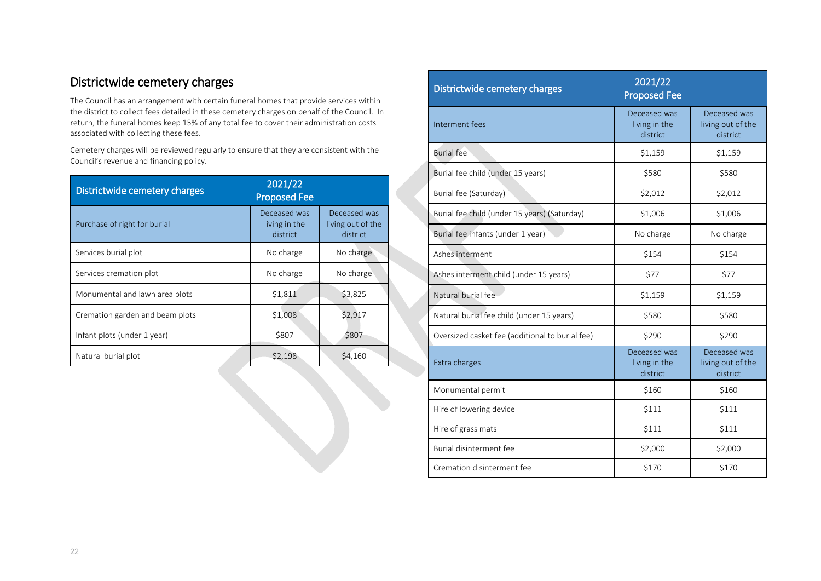#### Districtwide cemetery charges

The Council has an arrangement with certain funeral homes that provide services within the district to collect fees detailed in these cemetery charges on behalf of the Council. In return, the funeral homes keep 15% of any total fee to cover their administration costs associated with collecting these fees.

Cemetery charges will be reviewed regularly to ensure that they are consistent with the Council's revenue and financing policy.

| Districtwide cemetery charges   | 2021/22<br><b>Proposed Fee</b>            |                                               |
|---------------------------------|-------------------------------------------|-----------------------------------------------|
| Purchase of right for burial    | Deceased was<br>living in the<br>district | Deceased was<br>living out of the<br>district |
| Services burial plot            | No charge                                 | No charge                                     |
| Services cremation plot         | No charge                                 | No charge                                     |
| Monumental and lawn area plots  | \$1,811                                   | \$3,825                                       |
| Cremation garden and beam plots | \$1,008                                   | \$2,917                                       |
| Infant plots (under 1 year)     | \$807                                     | \$807                                         |
| Natural burial plot             | \$2,198                                   | \$4,160                                       |

| Districtwide cemetery charges                   | 2021/22<br><b>Proposed Fee</b>            |                                               |
|-------------------------------------------------|-------------------------------------------|-----------------------------------------------|
| Interment fees                                  | Deceased was<br>living in the<br>district | Deceased was<br>living out of the<br>district |
| <b>Burial</b> fee                               | \$1,159                                   | \$1,159                                       |
| Burial fee child (under 15 years)               | \$580                                     | \$580                                         |
| Burial fee (Saturday)                           | \$2,012                                   | \$2,012                                       |
| Burial fee child (under 15 years) (Saturday)    | \$1,006                                   | \$1,006                                       |
| Burial fee infants (under 1 year)               | No charge                                 | No charge                                     |
| Ashes interment                                 | \$154                                     | \$154                                         |
| Ashes interment child (under 15 years)          | <b>\$77</b>                               | \$77                                          |
| Natural burial fee                              | \$1,159                                   | \$1,159                                       |
| Natural burial fee child (under 15 years)       | \$580                                     | \$580                                         |
| Oversized casket fee (additional to burial fee) | \$290                                     | \$290                                         |
| Extra charges                                   | Deceased was<br>living in the<br>district | Deceased was<br>living out of the<br>district |
| Monumental permit                               | \$160                                     | \$160                                         |
| Hire of lowering device                         | \$111                                     | \$111                                         |
| Hire of grass mats                              | \$111                                     | \$111                                         |
| Burial disinterment fee                         | \$2,000                                   | \$2,000                                       |
| Cremation disinterment fee                      | \$170                                     | \$170                                         |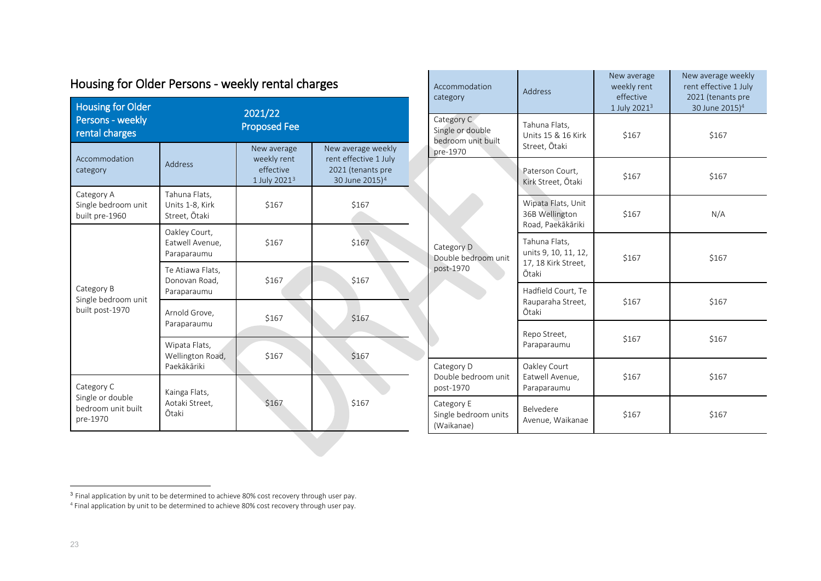| <b>Housing for Older</b><br>Persons - weekly<br>rental charges   |                                                   | 2021/22<br><b>Proposed Fee</b>                                      |                                                                                                |
|------------------------------------------------------------------|---------------------------------------------------|---------------------------------------------------------------------|------------------------------------------------------------------------------------------------|
| Accommodation<br>category                                        | Address                                           | New average<br>weekly rent<br>effective<br>1 July 2021 <sup>3</sup> | New average weekly<br>rent effective 1 July<br>2021 (tenants pre<br>30 June 2015) <sup>4</sup> |
| Category A<br>Single bedroom unit<br>built pre-1960              | Tahuna Flats,<br>Units 1-8, Kirk<br>Street, Ōtaki | \$167                                                               | \$167                                                                                          |
| Category B<br>Single bedroom unit<br>built post-1970             | Oakley Court,<br>Eatwell Avenue.<br>Paraparaumu   | \$167                                                               | \$167                                                                                          |
|                                                                  | Te Atiawa Flats,<br>Donovan Road,<br>Paraparaumu  | \$167                                                               | \$167                                                                                          |
|                                                                  | Arnold Grove,<br>Paraparaumu                      | \$167                                                               | \$167                                                                                          |
|                                                                  | Wipata Flats,<br>Wellington Road,<br>Paekākāriki  | \$167                                                               | \$167                                                                                          |
| Category C<br>Single or double<br>bedroom unit built<br>pre-1970 | Kainga Flats,<br>Aotaki Street,<br>Ōtaki          | \$167                                                               | \$167                                                                                          |

<span id="page-22-1"></span><span id="page-22-0"></span>

|  | Accommodation<br>category                                        | Address                                                               | New average<br>weekly rent<br>effective<br>1 July 2021 <sup>3</sup> | New average weekly<br>rent effective 1 July<br>2021 (tenants pre<br>30 June 2015) <sup>4</sup> |
|--|------------------------------------------------------------------|-----------------------------------------------------------------------|---------------------------------------------------------------------|------------------------------------------------------------------------------------------------|
|  | Category C<br>Single or double<br>bedroom unit built<br>pre-1970 | Tahuna Flats,<br>Units 15 & 16 Kirk<br>Street, Ōtaki                  | \$167                                                               | \$167                                                                                          |
|  |                                                                  | Paterson Court,<br>Kirk Street, Ōtaki                                 | \$167                                                               | \$167                                                                                          |
|  | Category D<br>Double bedroom unit<br>post-1970                   | Wipata Flats, Unit<br>36B Wellington<br>Road, Paekākāriki             | \$167                                                               | N/A                                                                                            |
|  |                                                                  | Tahuna Flats,<br>units 9, 10, 11, 12,<br>17, 18 Kirk Street,<br>Ōtaki | \$167                                                               | \$167                                                                                          |
|  |                                                                  | Hadfield Court, Te<br>Rauparaha Street,<br>Ōtaki                      | \$167                                                               | \$167                                                                                          |
|  |                                                                  | Repo Street,<br>Paraparaumu                                           | \$167                                                               | \$167                                                                                          |
|  | Category D<br>Double bedroom unit<br>post-1970                   | Oakley Court<br>Eatwell Avenue,<br>Paraparaumu                        | \$167                                                               | \$167                                                                                          |
|  | Category E<br>Single bedroom units<br>(Waikanae)                 | Belvedere<br>Avenue, Waikanae                                         | \$167                                                               | \$167                                                                                          |

# Housing for Older Persons - weekly rental charges

 $^3$  Final application by unit to be determined to achieve 80% cost recovery through user pay.

<sup>4</sup> Final application by unit to be determined to achieve 80% cost recovery through user pay.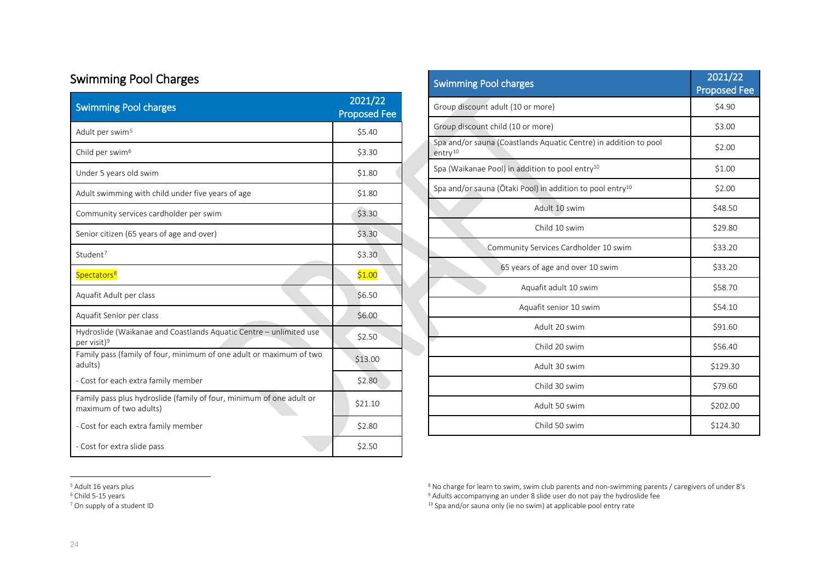# Swimming Pool Charges

| <b>Swimming Pool charges</b>                                                                   | 2021/22<br><b>Proposed Fee</b> |
|------------------------------------------------------------------------------------------------|--------------------------------|
| Adult per swim <sup>5</sup>                                                                    | \$5.40                         |
| Child per swim <sup>6</sup>                                                                    | \$3.30                         |
| Under 5 years old swim                                                                         | \$1.80                         |
| Adult swimming with child under five years of age                                              | \$1.80                         |
| Community services cardholder per swim                                                         | \$3.30                         |
| Senior citizen (65 years of age and over)                                                      | \$3.30                         |
| Student <sup>7</sup>                                                                           | \$3.30                         |
| Spectators <sup>8</sup>                                                                        | \$1.00                         |
| Aquafit Adult per class                                                                        | \$6.50                         |
| Aquafit Senior per class                                                                       | \$6.00                         |
| Hydroslide (Waikanae and Coastlands Aquatic Centre - unlimited use<br>per visit) <sup>9</sup>  | \$2.50                         |
| Family pass (family of four, minimum of one adult or maximum of two<br>adults)                 | \$13.00                        |
| - Cost for each extra family member                                                            | \$2.80                         |
| Family pass plus hydroslide (family of four, minimum of one adult or<br>maximum of two adults) | \$21.10                        |
| - Cost for each extra family member                                                            | \$2.80                         |
| - Cost for extra slide pass                                                                    | \$2.50                         |

<span id="page-23-2"></span><span id="page-23-1"></span><span id="page-23-0"></span>

| <b>Swimming Pool charges</b>                                                            | 2021/22<br><b>Proposed Fee</b> |
|-----------------------------------------------------------------------------------------|--------------------------------|
| Group discount adult (10 or more)                                                       | \$4.90                         |
| Group discount child (10 or more)                                                       | \$3.00                         |
| Spa and/or sauna (Coastlands Aquatic Centre) in addition to pool<br>entry <sup>10</sup> | \$2.00                         |
| Spa (Waikanae Pool) in addition to pool entry <sup>10</sup>                             | \$1.00                         |
| Spa and/or sauna (Otaki Pool) in addition to pool entry <sup>10</sup>                   | \$2.00                         |
| Adult 10 swim                                                                           | \$48.50                        |
| Child 10 swim                                                                           | \$29.80                        |
| Community Services Cardholder 10 swim                                                   | \$33.20                        |
| 65 years of age and over 10 swim                                                        | \$33.20                        |
| Aquafit adult 10 swim                                                                   | \$58.70                        |
| Aquafit senior 10 swim                                                                  | \$54.10                        |
| Adult 20 swim                                                                           | \$91.60                        |
| Child 20 swim                                                                           | \$56.40                        |
| Adult 30 swim                                                                           | \$129.30                       |
| Child 30 swim                                                                           | \$79.60                        |
| Adult 50 swim                                                                           | \$202.00                       |
| Child 50 swim                                                                           | \$124.30                       |

<sup>5</sup> Adult 16 years plus

 $6$  Child 5-15 years

<sup>7</sup> On supply of a student ID

<sup>8</sup> No charge for learn to swim, swim club parents and non-swimming parents / caregivers of under 8's

<sup>9</sup> Adults accompanying an under 8 slide user do not pay the hydroslide fee

<sup>10</sup> Spa and/or sauna only (ie no swim) at applicable pool entry rate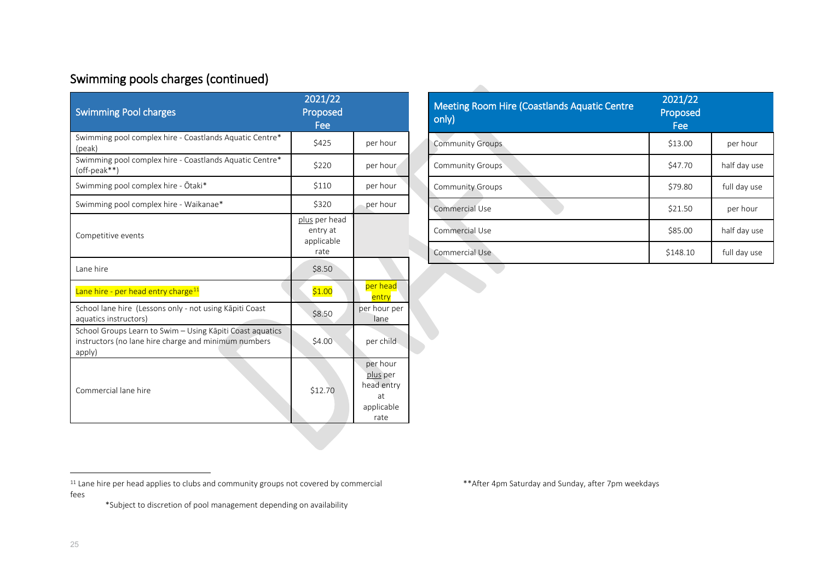# Swimming pools charges (continued)

| <b>Swimming Pool charges</b>                                                                                                | 2021/22<br>Proposed<br>Fee                      |                                                                |
|-----------------------------------------------------------------------------------------------------------------------------|-------------------------------------------------|----------------------------------------------------------------|
| Swimming pool complex hire - Coastlands Aquatic Centre*<br>(peak)                                                           | \$425                                           | per hour                                                       |
| Swimming pool complex hire - Coastlands Aquatic Centre*<br>(off-peak**)                                                     | \$220                                           | per hour                                                       |
| Swimming pool complex hire - Otaki*                                                                                         | \$110                                           | per hour                                                       |
| Swimming pool complex hire - Waikanae*                                                                                      | \$320                                           | per hour                                                       |
| Competitive events                                                                                                          | plus per head<br>entry at<br>applicable<br>rate |                                                                |
| Lane hire                                                                                                                   | \$8.50                                          |                                                                |
| Lane hire - per head entry charge <sup>11</sup>                                                                             | \$1.00                                          | per head<br>entry                                              |
| School lane hire (Lessons only - not using Kāpiti Coast<br>aquatics instructors)                                            | \$8.50                                          | per hour per<br>lane                                           |
| School Groups Learn to Swim - Using Kāpiti Coast aquatics<br>instructors (no lane hire charge and minimum numbers<br>apply) | \$4.00                                          | per child                                                      |
| Commercial lane hire                                                                                                        | \$12.70                                         | per hour<br>plus per<br>head entry<br>at<br>applicable<br>rate |

<span id="page-24-0"></span>

| <b>Meeting Room Hire (Coastlands Aquatic Centre</b><br>only) | 2021/22<br>Proposed<br>Fee |              |
|--------------------------------------------------------------|----------------------------|--------------|
| <b>Community Groups</b>                                      | \$13.00                    | per hour     |
| <b>Community Groups</b>                                      | \$47.70                    | half day use |
| <b>Community Groups</b>                                      | \$79.80                    | full day use |
| Commercial Use                                               | \$21.50                    | per hour     |
| Commercial Use                                               | \$85.00                    | half day use |
| Commercial Use                                               | \$148.10                   | full day use |

<sup>11</sup> Lane hire per head applies to clubs and community groups not covered by commercial fees

\*Subject to discretion of pool management depending on availability

\*\*After 4pm Saturday and Sunday, after 7pm weekdays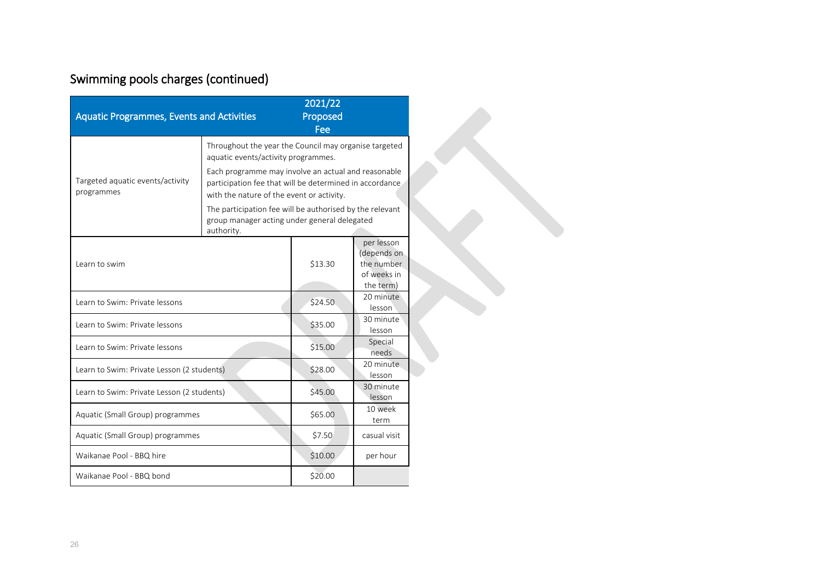# Swimming pools charges (continued)

| <b>Aquatic Programmes, Events and Activities</b> |                                                                                                                                                             | 2021/22<br>Proposed<br>Fee |                                                                     |
|--------------------------------------------------|-------------------------------------------------------------------------------------------------------------------------------------------------------------|----------------------------|---------------------------------------------------------------------|
|                                                  | Throughout the year the Council may organise targeted<br>aquatic events/activity programmes.                                                                |                            |                                                                     |
| Targeted aquatic events/activity<br>programmes   | Each programme may involve an actual and reasonable<br>participation fee that will be determined in accordance<br>with the nature of the event or activity. |                            |                                                                     |
|                                                  | The participation fee will be authorised by the relevant<br>group manager acting under general delegated<br>authority.                                      |                            |                                                                     |
| Learn to swim                                    |                                                                                                                                                             | \$13.30                    | per lesson<br>(depends on<br>the number<br>of weeks in<br>the term) |
| Learn to Swim: Private lessons                   |                                                                                                                                                             | \$24.50                    | 20 minute<br>lesson                                                 |
| Learn to Swim: Private lessons                   |                                                                                                                                                             | \$35.00                    | 30 minute<br>lesson                                                 |
| Learn to Swim: Private lessons                   |                                                                                                                                                             | \$15.00                    | Special<br>needs                                                    |
| Learn to Swim: Private Lesson (2 students)       |                                                                                                                                                             | \$28.00                    | 20 minute<br>lesson                                                 |
| Learn to Swim: Private Lesson (2 students)       |                                                                                                                                                             | \$45.00                    | 30 minute<br>lesson                                                 |
| Aquatic (Small Group) programmes                 |                                                                                                                                                             | \$65.00                    | 10 week<br>term                                                     |
| Aquatic (Small Group) programmes                 |                                                                                                                                                             | \$7.50                     | casual visit                                                        |
| Waikanae Pool - BBQ hire                         |                                                                                                                                                             | \$10.00                    | per hour                                                            |
| Waikanae Pool - BBQ bond                         |                                                                                                                                                             | \$20.00                    |                                                                     |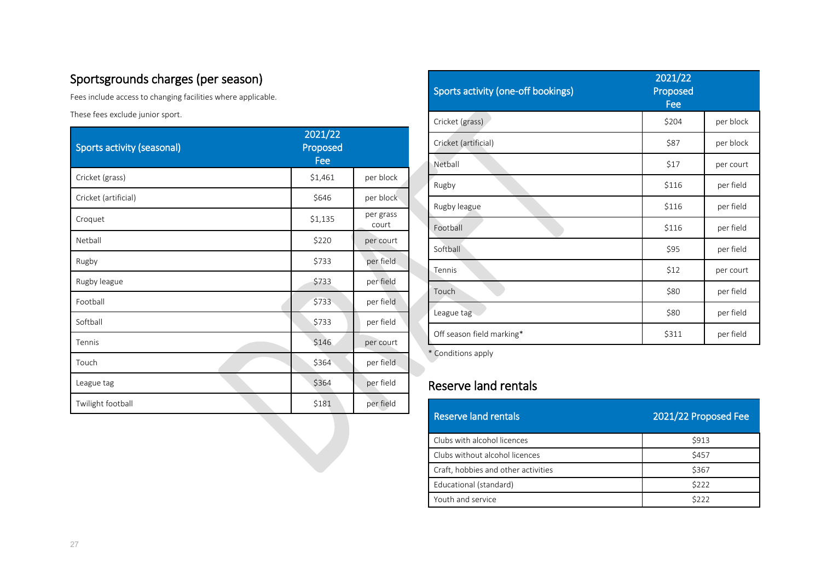# Sportsgrounds charges (per season)

Fees include access to changing facilities where applicable.

These fees exclude junior sport.

| Sports activity (seasonal) | 2021/22<br>Proposed<br>Fee |                    |
|----------------------------|----------------------------|--------------------|
| Cricket (grass)            | \$1,461                    | per block          |
| Cricket (artificial)       | \$646                      | per block          |
| Croquet                    | \$1,135                    | per grass<br>court |
| Netball                    | \$220                      | per court          |
| Rugby                      | \$733                      | per field          |
| Rugby league               | \$733                      | per field          |
| Football                   | \$733                      | per field          |
| Softball                   | \$733                      | per field          |
| Tennis                     | \$146                      | per court          |
| Touch                      | \$364                      | per field          |
| League tag                 | \$364                      | per field          |
| Twilight football          | \$181                      | per field          |

| <b>Sports activity (one-off bookings)</b> | 2021/22<br>Proposed<br>Fee |           |
|-------------------------------------------|----------------------------|-----------|
| Cricket (grass)                           | \$204                      | per block |
| Cricket (artificial)                      | \$87                       | per block |
| Netball                                   | \$17                       | per court |
| Rugby                                     | \$116                      | per field |
| Rugby league                              | \$116                      | per field |
| Football                                  | \$116                      | per field |
| Softball                                  | \$95                       | per field |
| Tennis                                    | \$12                       | per court |
| Touch                                     | \$80                       | per field |
| League tag                                | \$80                       | per field |
| Off season field marking*                 | \$311                      | per field |

\* Conditions apply

#### Reserve land rentals

| Reserve land rentals                | 2021/22 Proposed Fee |
|-------------------------------------|----------------------|
| Clubs with alcohol licences         | <b>\$913</b>         |
| Clubs without alcohol licences      | \$457                |
| Craft, hobbies and other activities | \$367                |
| Educational (standard)              | \$222                |
| Youth and service                   | \$222                |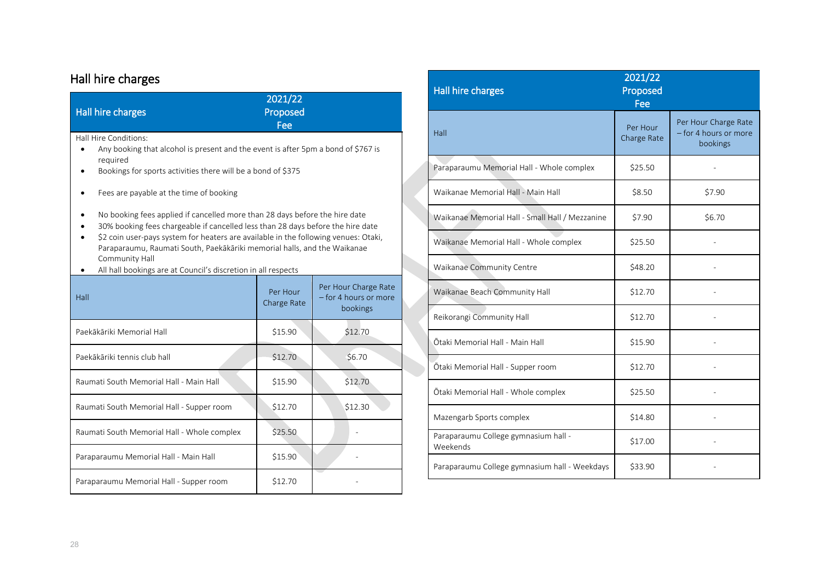# Hall hire charges

| <b>Hall hire charges</b>                                                                                                                                                                                                                                                                                                                                                                                                                                        | 2021/22<br>Proposed<br>Fee |                                                           |  |  |
|-----------------------------------------------------------------------------------------------------------------------------------------------------------------------------------------------------------------------------------------------------------------------------------------------------------------------------------------------------------------------------------------------------------------------------------------------------------------|----------------------------|-----------------------------------------------------------|--|--|
| Hall Hire Conditions:<br>Any booking that alcohol is present and the event is after 5pm a bond of \$767 is<br>required<br>Bookings for sports activities there will be a bond of \$375                                                                                                                                                                                                                                                                          |                            |                                                           |  |  |
| Fees are payable at the time of booking<br>No booking fees applied if cancelled more than 28 days before the hire date<br>30% booking fees chargeable if cancelled less than 28 days before the hire date<br>\$2 coin user-pays system for heaters are available in the following venues: Otaki,<br>Paraparaumu, Raumati South, Paekākāriki memorial halls, and the Waikanae<br>Community Hall<br>All hall bookings are at Council's discretion in all respects |                            |                                                           |  |  |
| Hall                                                                                                                                                                                                                                                                                                                                                                                                                                                            | Per Hour<br>Charge Rate    | Per Hour Charge Rate<br>- for 4 hours or more<br>bookings |  |  |
| Paekākāriki Memorial Hall                                                                                                                                                                                                                                                                                                                                                                                                                                       | \$15.90                    | \$12.70                                                   |  |  |
| Paekākāriki tennis club hall                                                                                                                                                                                                                                                                                                                                                                                                                                    | \$12.70                    | \$6.70                                                    |  |  |
| Raumati South Memorial Hall - Main Hall                                                                                                                                                                                                                                                                                                                                                                                                                         | \$15.90                    | \$12.70                                                   |  |  |
| Raumati South Memorial Hall - Supper room                                                                                                                                                                                                                                                                                                                                                                                                                       | \$12.70                    | \$12.30                                                   |  |  |
| Raumati South Memorial Hall - Whole complex                                                                                                                                                                                                                                                                                                                                                                                                                     | \$25.50                    |                                                           |  |  |
| Paraparaumu Memorial Hall - Main Hall                                                                                                                                                                                                                                                                                                                                                                                                                           | \$15.90                    |                                                           |  |  |
| Paraparaumu Memorial Hall - Supper room                                                                                                                                                                                                                                                                                                                                                                                                                         | \$12.70                    |                                                           |  |  |

| <b>Hall hire charges</b>                         | 2021/22<br>Proposed<br>Fee |                                                           |
|--------------------------------------------------|----------------------------|-----------------------------------------------------------|
| Hall                                             | Per Hour<br>Charge Rate    | Per Hour Charge Rate<br>- for 4 hours or more<br>bookings |
| Paraparaumu Memorial Hall - Whole complex        | \$25.50                    |                                                           |
| Waikanae Memorial Hall - Main Hall               | \$8.50                     | \$7.90                                                    |
| Waikanae Memorial Hall - Small Hall / Mezzanine  | \$7.90                     | \$6.70                                                    |
| Waikanae Memorial Hall - Whole complex           | \$25.50                    |                                                           |
| Waikanae Community Centre                        | \$48.20                    |                                                           |
| Waikanae Beach Community Hall                    | \$12.70                    |                                                           |
| Reikorangi Community Hall                        | \$12.70                    |                                                           |
| Ōtaki Memorial Hall - Main Hall                  | \$15.90                    |                                                           |
| Ōtaki Memorial Hall - Supper room                | \$12.70                    |                                                           |
| Ōtaki Memorial Hall - Whole complex              | \$25.50                    |                                                           |
| Mazengarb Sports complex                         | \$14.80                    |                                                           |
| Paraparaumu College gymnasium hall -<br>Weekends | \$17.00                    |                                                           |
| Paraparaumu College gymnasium hall - Weekdays    | \$33.90                    |                                                           |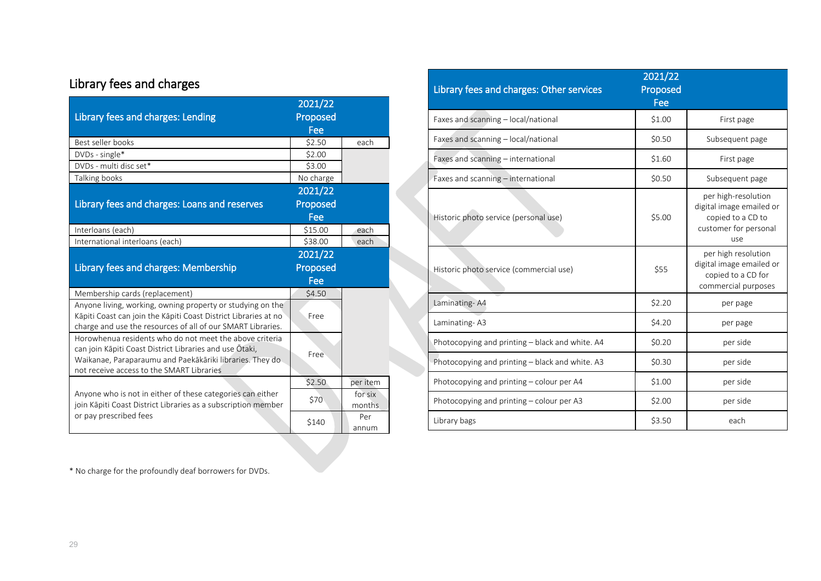# Library fees and charges

| Library fees and charges: Lending                                                                                                                                                                                           | 2021/22<br>Proposed                  |                   |
|-----------------------------------------------------------------------------------------------------------------------------------------------------------------------------------------------------------------------------|--------------------------------------|-------------------|
| Best seller books                                                                                                                                                                                                           | Fee<br>\$2.50                        | each              |
| DVDs - single*                                                                                                                                                                                                              | \$2.00                               |                   |
| DVDs - multi disc set*                                                                                                                                                                                                      | \$3.00                               |                   |
| Talking books                                                                                                                                                                                                               | No charge                            |                   |
|                                                                                                                                                                                                                             | 2021/22                              |                   |
| Library fees and charges: Loans and reserves                                                                                                                                                                                | Proposed<br>Fee                      |                   |
| Interloans (each)                                                                                                                                                                                                           | \$15.00                              | each              |
| International interloans (each)                                                                                                                                                                                             | \$38.00                              | each              |
| Library fees and charges: Membership                                                                                                                                                                                        | $\frac{2021}{22}$<br>Proposed<br>Fee |                   |
| Membership cards (replacement)                                                                                                                                                                                              | \$4.50                               |                   |
| Anyone living, working, owning property or studying on the<br>Kāpiti Coast can join the Kāpiti Coast District Libraries at no<br>charge and use the resources of all of our SMART Libraries.                                | Free                                 |                   |
| Horowhenua residents who do not meet the above criteria<br>can join Kāpiti Coast District Libraries and use Otaki,<br>Waikanae, Paraparaumu and Paekākāriki libraries. They do<br>not receive access to the SMART Libraries | Free                                 |                   |
|                                                                                                                                                                                                                             | \$2.50                               | per item          |
| Anyone who is not in either of these categories can either<br>join Kāpiti Coast District Libraries as a subscription member                                                                                                 | \$70                                 | for six<br>months |
| or pay prescribed fees                                                                                                                                                                                                      | \$140                                | Per<br>annum      |

| Library fees and charges: Other services        | 2021/22<br>Proposed<br>Fee |                                                                                                      |
|-------------------------------------------------|----------------------------|------------------------------------------------------------------------------------------------------|
| Faxes and scanning - local/national             | \$1.00                     | First page                                                                                           |
| Faxes and scanning - local/national             | \$0.50                     | Subsequent page                                                                                      |
| Faxes and scanning - international              | \$1.60                     | First page                                                                                           |
| Faxes and scanning - international              | \$0.50                     | Subsequent page                                                                                      |
| Historic photo service (personal use)           | \$5.00                     | per high-resolution<br>digital image emailed or<br>copied to a CD to<br>customer for personal<br>use |
| Historic photo service (commercial use)         | \$55                       | per high resolution<br>digital image emailed or<br>copied to a CD for<br>commercial purposes         |
| Laminating-A4                                   | \$2.20                     | per page                                                                                             |
| Laminating-A3                                   | \$4.20                     | per page                                                                                             |
| Photocopying and printing - black and white. A4 | \$0.20                     | per side                                                                                             |
| Photocopying and printing - black and white. A3 | \$0.30                     | per side                                                                                             |
| Photocopying and printing - colour per A4       | \$1.00                     | per side                                                                                             |
| Photocopying and printing – colour per A3       | \$2.00                     | per side                                                                                             |
| Library bags                                    | \$3.50                     | each                                                                                                 |

\* No charge for the profoundly deaf borrowers for DVDs.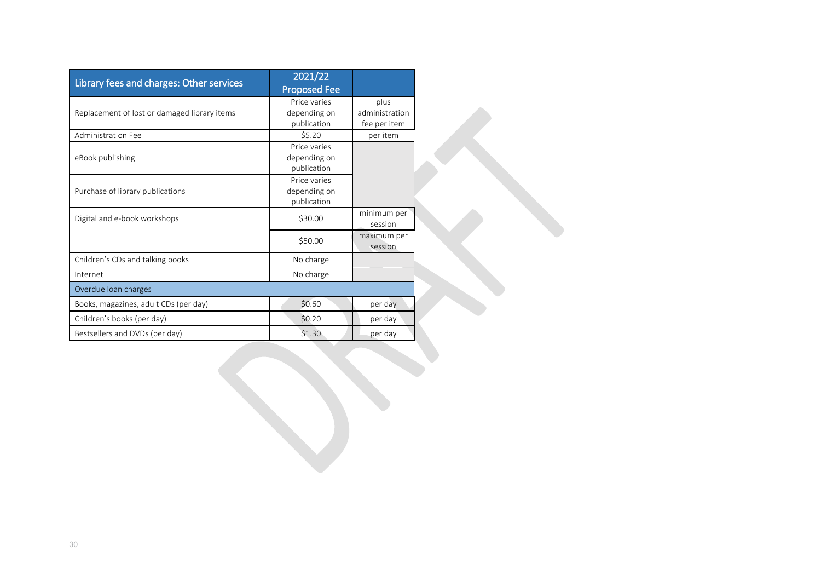| Library fees and charges: Other services     | 2021/22<br><b>Proposed Fee</b>              |                                        |
|----------------------------------------------|---------------------------------------------|----------------------------------------|
| Replacement of lost or damaged library items | Price varies<br>depending on<br>publication | plus<br>administration<br>fee per item |
| Administration Fee                           | \$5.20                                      | per item                               |
| eBook publishing                             | Price varies<br>depending on<br>publication |                                        |
| Purchase of library publications             | Price varies<br>depending on<br>publication |                                        |
| Digital and e-book workshops                 | \$30.00                                     | minimum per<br>session                 |
|                                              | \$50.00                                     | maximum per<br>session                 |
| Children's CDs and talking books             | No charge                                   |                                        |
| Internet                                     | No charge                                   |                                        |
| Overdue loan charges                         |                                             |                                        |
| Books, magazines, adult CDs (per day)        | \$0.60                                      | per day                                |
| Children's books (per day)                   | \$0.20                                      | per day                                |
| Bestsellers and DVDs (per day)               | \$1.30                                      | per day                                |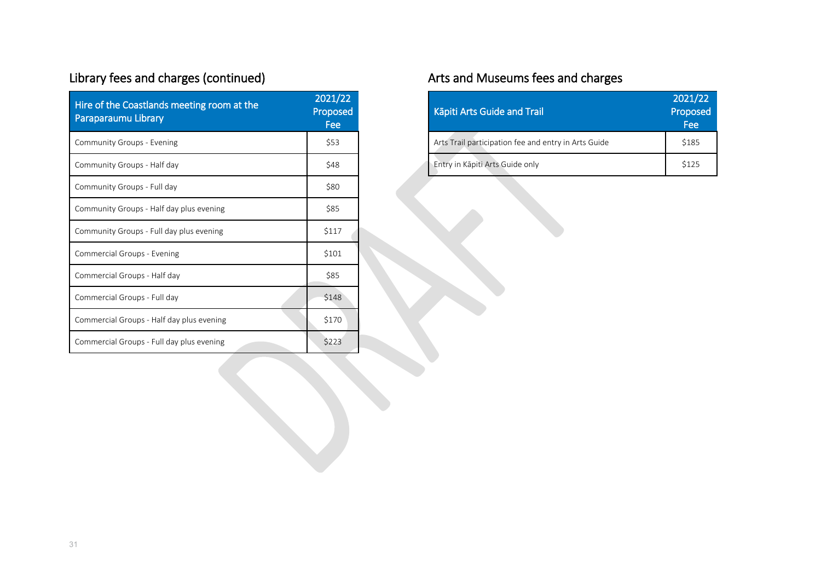# Library fees and charges (continued)

| Hire of the Coastlands meeting room at the<br>Paraparaumu Library | 2021/22<br>Proposed<br>Fee |
|-------------------------------------------------------------------|----------------------------|
| Community Groups - Evening                                        | \$53                       |
| Community Groups - Half day                                       | \$48                       |
| Community Groups - Full day                                       | \$80                       |
| Community Groups - Half day plus evening                          | \$85                       |
| Community Groups - Full day plus evening                          | \$117                      |
| Commercial Groups - Evening                                       | \$101                      |
| Commercial Groups - Half day                                      | \$85                       |
| Commercial Groups - Full day                                      | \$148                      |
| Commercial Groups - Half day plus evening                         | \$170                      |
| Commercial Groups - Full day plus evening                         | \$223                      |

# Arts and Museums fees and charges

| <b>Käpiti Arts Guide and Trail</b>                   | 2021/22<br>Proposed<br>Fee |
|------------------------------------------------------|----------------------------|
| Arts Trail participation fee and entry in Arts Guide | \$185                      |
| Entry in Kāpiti Arts Guide only                      | \$125                      |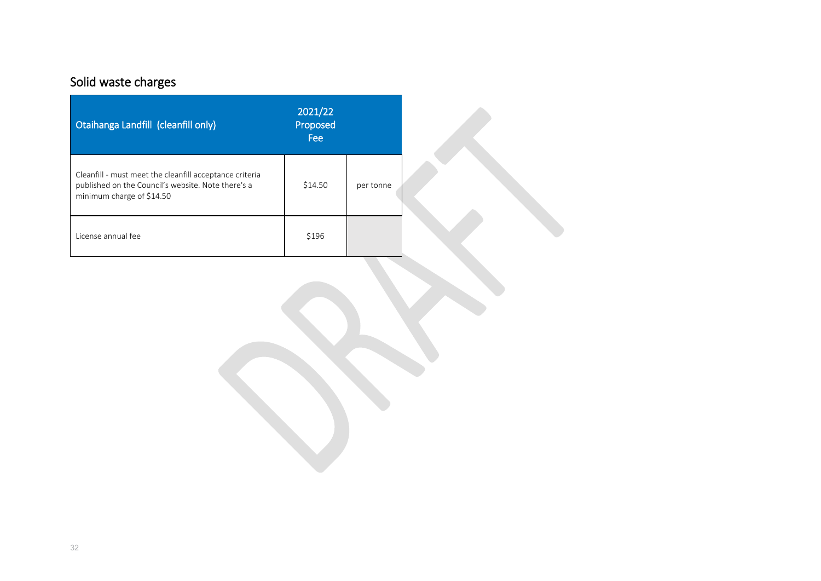# Solid waste charges

| Otaihanga Landfill (cleanfill only)                                                                                                        | 2021/22<br>Proposed<br>Fee |           |  |
|--------------------------------------------------------------------------------------------------------------------------------------------|----------------------------|-----------|--|
| Cleanfill - must meet the cleanfill acceptance criteria<br>published on the Council's website. Note there's a<br>minimum charge of \$14.50 | \$14.50                    | per tonne |  |
| License annual fee                                                                                                                         | \$196                      |           |  |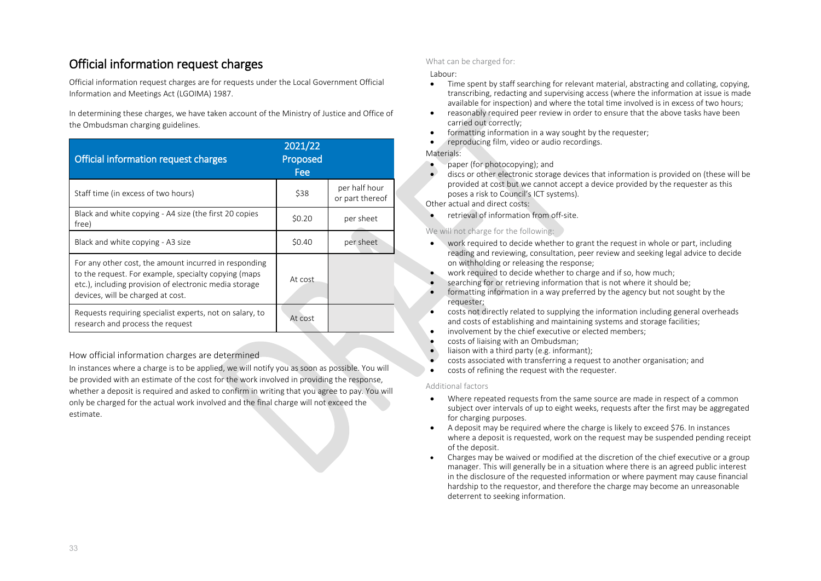#### Official information request charges

Official information request charges are for requests under the Local Government Official Information and Meetings Act (LGOIMA) 1987.

In determining these charges, we have taken account of the Ministry of Justice and Office of the Ombudsman charging guidelines.

| Official information request charges                                                                                                                                                                         | 2021/22<br>Proposed<br>Fee |                                  |
|--------------------------------------------------------------------------------------------------------------------------------------------------------------------------------------------------------------|----------------------------|----------------------------------|
| Staff time (in excess of two hours)                                                                                                                                                                          | \$38                       | per half hour<br>or part thereof |
| Black and white copying - A4 size (the first 20 copies<br>free)                                                                                                                                              | \$0.20                     | per sheet                        |
| Black and white copying - A3 size                                                                                                                                                                            | \$0.40                     | per sheet                        |
| For any other cost, the amount incurred in responding<br>to the request. For example, specialty copying (maps<br>etc.), including provision of electronic media storage<br>devices, will be charged at cost. | At cost                    |                                  |
| Requests requiring specialist experts, not on salary, to<br>research and process the request                                                                                                                 | At cost                    |                                  |

How official information charges are determined

In instances where a charge is to be applied, we will notify you as soon as possible. You will be provided with an estimate of the cost for the work involved in providing the response, whether a deposit is required and asked to confirm in writing that you agree to pay. You will only be charged for the actual work involved and the final charge will not exceed the estimate.

#### What can be charged for:

#### Labour:

- Time spent by staff searching for relevant material, abstracting and collating, copying, transcribing, redacting and supervising access (where the information at issue is made available for inspection) and where the total time involved is in excess of two hours;
- reasonably required peer review in order to ensure that the above tasks have been carried out correctly;
- formatting information in a way sought by the requester:
- reproducing film, video or audio recordings.

#### Materials:

- paper (for photocopying); and
- discs or other electronic storage devices that information is provided on (these will be provided at cost but we cannot accept a device provided by the requester as this poses a risk to Council's ICT systems).

Other actual and direct costs:

• retrieval of information from off-site.

#### We will not charge for the following:

- work required to decide whether to grant the request in whole or part, including reading and reviewing, consultation, peer review and seeking legal advice to decide on withholding or releasing the response;
- work required to decide whether to charge and if so, how much:
- searching for or retrieving information that is not where it should be;
- formatting information in a way preferred by the agency but not sought by the requester;
- costs not directly related to supplying the information including general overheads and costs of establishing and maintaining systems and storage facilities;
- involvement by the chief executive or elected members:
- costs of liaising with an Ombudsman;
- liaison with a third party (e.g. informant):
- costs associated with transferring a request to another organisation; and
- costs of refining the request with the requester.

#### Additional factors

- Where repeated requests from the same source are made in respect of a common subject over intervals of up to eight weeks, requests after the first may be aggregated for charging purposes.
- A deposit may be required where the charge is likely to exceed \$76. In instances where a deposit is requested, work on the request may be suspended pending receipt of the deposit.
- Charges may be waived or modified at the discretion of the chief executive or a group manager. This will generally be in a situation where there is an agreed public interest in the disclosure of the requested information or where payment may cause financial hardship to the requestor, and therefore the charge may become an unreasonable deterrent to seeking information.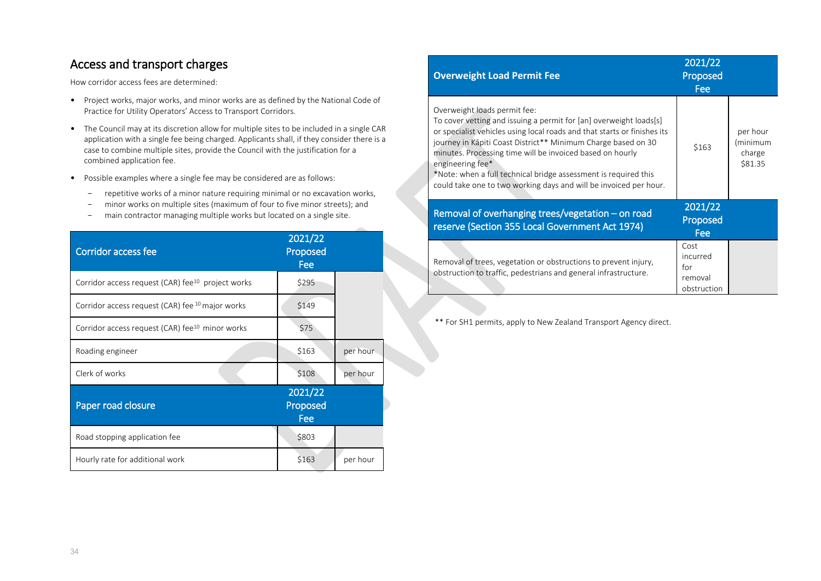#### Access and transport charges

How corridor access fees are determined:

- Project works, major works, and minor works are as defined by the National Code of Practice for Utility Operators' Access to Transport Corridors.
- The Council may at its discretion allow for multiple sites to be included in a single CAR application with a single fee being charged. Applicants shall, if they consider there is a case to combine multiple sites, provide the Council with the justification for a combined application fee.
- Possible examples where a single fee may be considered are as follows:
	- repetitive works of a minor nature requiring minimal or no excavation works,
	- minor works on multiple sites (maximum of four to five minor streets); and
	- main contractor managing multiple works but located on a single site.

| <b>Corridor access fee</b>                                    | 2021/22<br>Proposed<br>Fee |          |
|---------------------------------------------------------------|----------------------------|----------|
| Corridor access request (CAR) fee <sup>10</sup> project works | \$295                      |          |
| Corridor access request (CAR) fee <sup>10</sup> major works   | \$149                      |          |
| Corridor access request (CAR) fee <sup>10</sup> minor works   | \$75                       |          |
| Roading engineer                                              | \$163                      | per hour |
| Clerk of works                                                | \$108                      | per hour |
| Paper road closure                                            | 2021/22<br>Proposed<br>Fee |          |
| Road stopping application fee                                 | \$803                      |          |
| Hourly rate for additional work                               | \$163                      | per hour |

| <b>Overweight Load Permit Fee</b>                                                                                                                                                                                                                                                                                                                                                                                                                                        | 2021/22<br>Proposed<br>Fee                        |                                           |
|--------------------------------------------------------------------------------------------------------------------------------------------------------------------------------------------------------------------------------------------------------------------------------------------------------------------------------------------------------------------------------------------------------------------------------------------------------------------------|---------------------------------------------------|-------------------------------------------|
| Overweight loads permit fee:<br>To cover vetting and issuing a permit for [an] overweight loads[s]<br>or specialist vehicles using local roads and that starts or finishes its<br>journey in Kāpiti Coast District** Minimum Charge based on 30<br>minutes. Processing time will be invoiced based on hourly<br>engineering fee*<br>*Note: when a full technical bridge assessment is required this<br>could take one to two working days and will be invoiced per hour. | \$163                                             | per hour<br>(minimum<br>charge<br>\$81.35 |
| Removal of overhanging trees/vegetation - on road<br>reserve (Section 355 Local Government Act 1974)                                                                                                                                                                                                                                                                                                                                                                     | 2021/22<br>Proposed<br>Fee                        |                                           |
| Removal of trees, vegetation or obstructions to prevent injury,<br>obstruction to traffic, pedestrians and general infrastructure.                                                                                                                                                                                                                                                                                                                                       | Cost<br>incurred<br>for<br>removal<br>obstruction |                                           |

\*\* For SH1 permits, apply to New Zealand Transport Agency direct.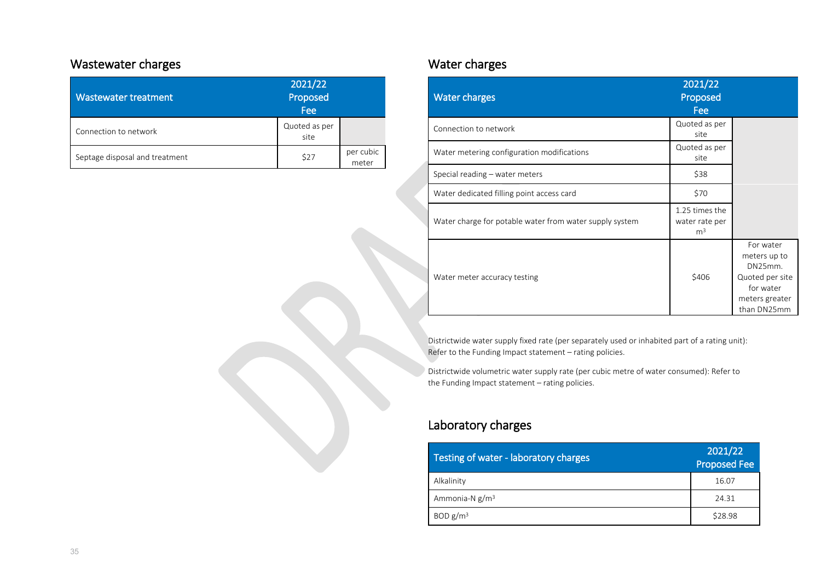#### Wastewater charges

| Wastewater treatment           | 2021/22<br>Proposed<br>Fee |                    |  |
|--------------------------------|----------------------------|--------------------|--|
| Connection to network          | Quoted as per<br>site      |                    |  |
| Septage disposal and treatment | \$27                       | per cubic<br>meter |  |

### Water charges

| <b>Water charges</b>                                    | 2021/22<br>Proposed<br>Fee                         |                                                                                                       |
|---------------------------------------------------------|----------------------------------------------------|-------------------------------------------------------------------------------------------------------|
| Connection to network                                   | Quoted as per<br>site                              |                                                                                                       |
| Water metering configuration modifications              | Quoted as per<br>site                              |                                                                                                       |
| Special reading – water meters                          | \$38                                               |                                                                                                       |
| Water dedicated filling point access card               | \$70                                               |                                                                                                       |
| Water charge for potable water from water supply system | 1.25 times the<br>water rate per<br>m <sup>3</sup> |                                                                                                       |
| Water meter accuracy testing                            | \$406                                              | For water<br>meters up to<br>DN25mm.<br>Quoted per site<br>for water<br>meters greater<br>than DN25mm |

Districtwide water supply fixed rate (per separately used or inhabited part of a rating unit): Refer to the Funding Impact statement – rating policies.

Districtwide volumetric water supply rate (per cubic metre of water consumed): Refer to the Funding Impact statement – rating policies.

### Laboratory charges

| Testing of water - laboratory charges | 2021/22<br><b>Proposed Fee</b> |
|---------------------------------------|--------------------------------|
| Alkalinity                            | 16.07                          |
| Ammonia-N $g/m3$                      | 24.31                          |
| BOD $g/m3$                            | \$28.98                        |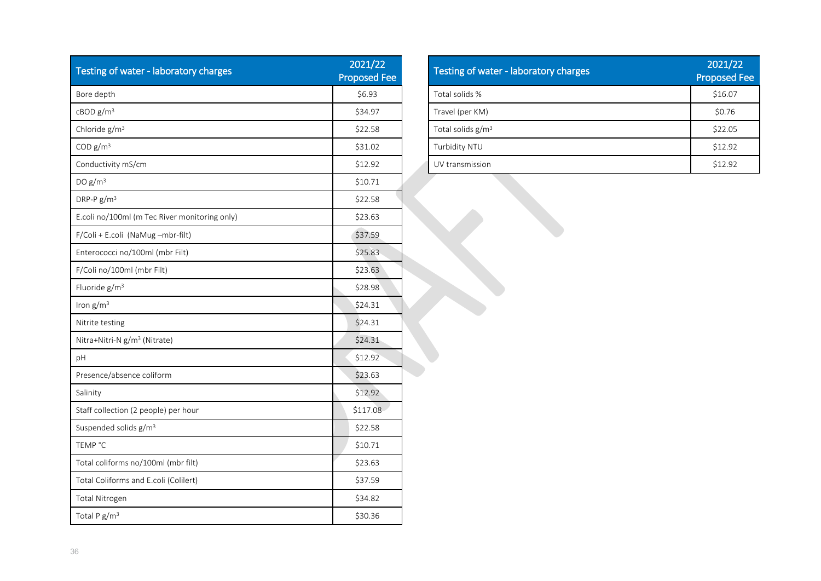| Testing of water - laboratory charges         | 2021/22<br><b>Proposed Fee</b> |
|-----------------------------------------------|--------------------------------|
| Bore depth                                    | \$6.93                         |
| cBODg/m <sup>3</sup>                          | \$34.97                        |
| Chloride g/m <sup>3</sup>                     | \$22.58                        |
| COD $g/m3$                                    | \$31.02                        |
| Conductivity mS/cm                            | \$12.92                        |
| DO $g/m^3$                                    | \$10.71                        |
| DRP-P $g/m^3$                                 | \$22.58                        |
| E.coli no/100ml (m Tec River monitoring only) | \$23.63                        |
| F/Coli + E.coli (NaMug-mbr-filt)              | \$37.59                        |
| Enterococci no/100ml (mbr Filt)               | \$25.83                        |
| F/Coli no/100ml (mbr Filt)                    | \$23.63                        |
| Fluoride g/m <sup>3</sup>                     | \$28.98                        |
| Iron $g/m^3$                                  | \$24.31                        |
| Nitrite testing                               | \$24.31                        |
| Nitra+Nitri-N g/m <sup>3</sup> (Nitrate)      | \$24.31                        |
| pH                                            | \$12.92                        |
| Presence/absence coliform                     | \$23.63                        |
| Salinity                                      | \$12.92                        |
| Staff collection (2 people) per hour          | \$117.08                       |
| Suspended solids g/m <sup>3</sup>             | \$22.58                        |
| TEMP °C                                       | \$10.71                        |
| Total coliforms no/100ml (mbr filt)           | \$23.63                        |
| Total Coliforms and E.coli (Colilert)         | \$37.59                        |
| Total Nitrogen                                | \$34.82                        |
| Total P g/m <sup>3</sup>                      | \$30.36                        |

| Testing of water - laboratory charges | 2021/22<br><b>Proposed Fee</b> |
|---------------------------------------|--------------------------------|
| Total solids %                        | \$16.07                        |
| Travel (per KM)                       | \$0.76                         |
| Total solids $g/m3$                   | \$22.05                        |
| Turbidity NTU                         | \$12.92                        |
| UV transmission                       | \$12.92                        |

Ì